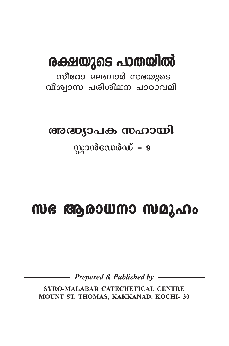# രക്ഷയുടെ പാതയിൽ

സീറോ മലബാർ സഭയുടെ വിശ്വാസ പരിശീലന പാഠാവലി

# അദ്ധ്യാപക സഹായി

# $q$ )  $q$

# സഭ ആരാധനാ സമുഹം

Prepared & Published by  $-$ 

**SYRO-MALABAR CATECHETICAL CENTRE** MOUNT ST. THOMAS, KAKKANAD, KOCHI- 30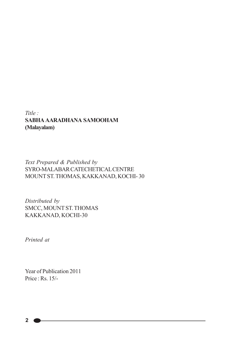### *Title :* **SABHA AARADHANA SAMOOHAM (Malayalam)**

### *Text Prepared & Published by* SYRO-MALABAR CATECHETICAL CENTRE MOUNT ST. THOMAS, KAKKANAD, KOCHI- 30

*Distributed by* SMCC, MOUNT ST. THOMAS KAKKANAD, KOCHI-30

*Printed at*

Year of Publication 2011 Price : Rs. 15/-

**2**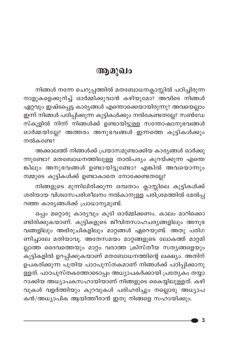# ആമുഖം

നിങ്ങൾ നന്നേ ചെറുപ്പത്തിൽ മതബോധനക്ലാസ്സിൽ പഠിച്ചിരുന്ന നാളുകളെക്കുറിച്ച് ഓർമ്മിക്കുവാൻ കഴിയുമോ? അവിടെ നിങ്ങൾ ഏറ്റവും ഇഷ്ടപ്പെട്ട കാര്യങ്ങൾ എന്തൊക്കെയായിരുന്നു? അവയെല്ലാം ഇന്ന് നിങ്ങൾ പഠിപ്പിക്കുന്ന കുട്ടികൾക്കും നൽകേണ്ടതല്ലേ? സൺഡേ സ്കൂളിൽ നിന്ന് നിങ്ങൾക്ക് ഉണ്ടായിട്ടുള്ള സന്തോഷാനുഭവങ്ങൾ ഓർമ്മയില്ലേ? അത്തരം അനുഭവങ്ങൾ ഇന്നത്തെ കുട്ടികൾക്കും നൽകണ്ടേ?

അക്കാലത്ത് നിങ്ങൾക്ക് പ്രയാസമുണ്ടാക്കിയ കാര്യങ്ങൾ ഓർക്കു ന്നുണ്ടോ? മതബോധനത്തിലുള്ള താൽപര്യം കുറയ്ക്കുന്ന എന്തെ ങ്കിലും അനുഭവങ്ങൾ ഉണ്ടായിട്ടുണ്ടോ? എങ്കിൽ അവയൊന്നും നമ്മുടെ കുട്ടികൾക്ക് ഉണ്ടാകാതെ നോക്കേണ്ടതല്ലേ?

നിങ്ങളുടെ മുന്നിലിരിക്കുന്ന ഒമ്പതാം ക്ലാസ്സിലെ കുട്ടികൾക്ക് ശരിയായ വിശ്വാസപരിശീലനം നൽകാനുള്ള പരിശ്രമത്തിൽ മേൽപ്പ റഞ്ഞ കാര്യങ്ങൾക്ക് പ്രാധാന്യമുണ്ട്.

ഒപ്പം മറ്റൊരു കാര്യവും കൂടി ഓർമ്മിക്കണം. കാലം മാറിക്കൊ ണ്ടിരിക്കുകയാണ്. കുട്ടികളുടെ ജീവിതസാഹചര്യങ്ങളിലും അനുഭ വങ്ങളിലും അഭിരുചികളിലും മാറ്റങ്ങൾ ഏറെയുണ്ട്. അതു പരിഗ ണിച്ചാലേ മതിയാവൂ. അതേസമയം മാറ്റങ്ങളുടെ ലോകത്ത് മാറ്റമി ല്ലാത്ത ദൈവത്തെയും മാറ്റം വരാത്ത ക്രിസ്തീയ സത്യങ്ങളെയും കുട്ടികളിൽ ഉറപ്പിക്കുകയാണ് മതബോധനത്തിന്റെ ലക്ഷ്യം. അതിന് ഉപകരിക്കുന്ന പുതിയ പാഠപുസ്തകമാണ് നിങ്ങൾക്ക് പഠിപ്പിക്കാനു ള്ളത്. പാഠപുസ്തകത്തോടൊപ്പം അധ്യാപകർക്കായി പ്രത്യേകം തയ്യാ റാക്കിയ അധ്യാപകസഹായിയാണ് നിങ്ങളുടെ കൈയ്യിലുള്ളത്. കഴി വുകൾ വളർത്തിയും കുറവുകൾ പരിഹരിച്ചും നല്ലൊരു അധ്യാപ കൻ/അധ്യാപിക ആയിത്തീരാൻ ഇതു നിങ്ങളെ സഹായിക്കും.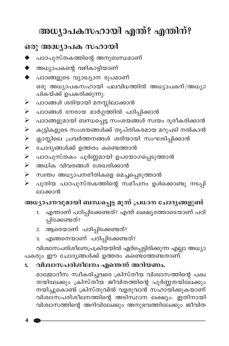# അധ്യാപകസഹായി എന്ത്? എന്തിന്?

### ഒരു അദ്ധ്യാപക സഹായി

- പാഠപുസ്തകത്തിന്റെ അനുബന്ധമാണ്
- ◆ അധ്യാപകന്റെ വഴികാട്ടിയാണ്
- ◆ പാഠങ്ങളുടെ വ്യാഖ്യാന രൂപമാണ് ഒരു അധ്യാപകസഹായി പലവിധത്തിൽ അധ്യാപകന്/അധ്യാ പികയ്ക്ക് ഉപകരിക്കുന്നു.
- പാഠങ്ങൾ ശരിയായി മനസ്സിലാക്കാൻ  $\blacktriangleright$
- പാഠങ്ങൾ നേരായ മാർഗ്ഗത്തിൽ പഠിപ്പിക്കാൻ  $\blacktriangleright$
- $\blacktriangleright$ പാഠങ്ങളുമായി ബന്ധപ്പെട്ട സംശയങ്ങൾ സ്വയം ദൂരീകരിക്കാൻ
- കുട്ടികളുടെ സംശയങ്ങൾക്ക് തൃപ്തികരമായ മറുപടി നൽകാൻ  $\blacktriangleright$
- $\blacktriangleright$ ക്ലാസ്സിലെ പ്രവർത്തനങ്ങൾ ശരിയായി സംഘടിപ്പിക്കാൻ
- $\blacktriangleright$ ചോദ്യങ്ങൾക്ക് ഉത്തരം കണ്ടെത്താൻ
- പാഠപുസ്തകം പൂർണ്ണമായി ഉപയോഗപ്പെടുത്താൻ  $\blacktriangleright$
- അധിക വിവരങ്ങൾ ശേഖരിക്കാൻ  $\blacktriangleright$
- $\blacktriangleright$ സ്വന്തം അധ്യാപനരീതികളെ മെച്ചപ്പെടുത്താൻ
- പുതിയ പാഠപുസ്തകത്തിന്റെ സമീപനം ഉൾക്കൊണ്ടു നടപ്പി  $\blacktriangleright$ ലാക്കാൻ

### അധ്യാപനവുമായി ബന്ധപ്പെട്ട മൂന്ന് പ്രധാന ചോദ്യങ്ങളുണ്ട്

- എന്താണ് പഠിപ്പിക്കേണ്ടത്? എന്ത് ലക്ഷ്യത്തോടെയാണ് പഠി  $1.$ പ്പിക്കേണ്ടത്?
- 2. ആരെയാണ് പഠിപ്പിക്കേണ്ടത്?
- 3. എങ്ങനെയാണ് പഠിപ്പിക്കേണ്ടത്?

വിശ്വാസപരിശീലനപ്രക്രിയയിൽ ഏർപ്പെട്ടിരിക്കുന്ന എല്ലാ അധ്യാ പകരും ഈ ചോദൃങ്ങൾക്ക് ഉത്തരം കണ്ടെത്തേണ്ടതാണ്.

#### വിശ്വാസപരിശീലനം എന്തെന്ന് അറിയണം.  $1<sub>n</sub>$

മാമ്മോദീസ സ്വീകരിച്ചവരെ ക്രിസ്തീയ വിശ്വാസത്തിന്റെ പക്വ തയിലേക്കും ക്രിസ്തിയ ജീവിതത്തിന്റെ പൂർണ്ണതയിലേക്കും നയിച്ചുകൊണ്ട് ക്രിസ്തുവിൽ വളരുവാൻ സഹായിക്കുകയാണ് വിശാസപരിശീലനത്തിന്റെ അടിസ്ഥാന ലക്ഷ്യം. ഇതിനായി വിശ്വാസത്തിന്റെ അറിവിലേക്കും അനുഭവത്തിലേക്കും ജീവിത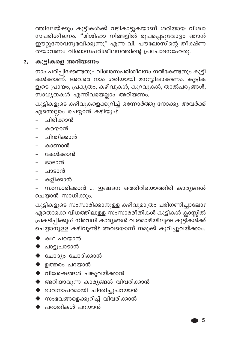ത്തിലേയ്ക്കും കുട്ടികൾക്ക് വഴികാട്ടുകയാണ് ശരിയായ വിശ്വാ ഈറ്റുനോവനുഭവിക്കുന്നു" എന്ന വി. പൗലോസിന്റെ തീക്ഷ്ണ തയാവണം വിശ്വാസപരിശീലനത്തിന്റെ പ്രചോദനഹേതു.

### 2. കുട്ടികളെ അറിയണം

നാം പഠിപ്പിക്കേണ്ടതും വിശ്വാസപരിശീലനം നൽകേണ്ടതും കുട്ടി കൾക്കാണ്. അവരെ നാം ശരിയായി മനസ്സിലാക്കണം. കുട്ടിക ളുടെ പ്രായം, പ്രകൃതം, കഴിവുകൾ, കുറവുകൾ, താൽപര്യങ്ങൾ, \_\_<br>സാധൃതകൾ എന്നിവയെല്ലാം അറിയണം.

കുട്ടികളുടെ കഴിവുകളെക്കുറിച്ച് ഒന്നോർത്തു നോക്കൂ. അവർക്ക് എന്തെല്ലാം ചെയ്യാൻ കഴിയും?

- ചിരിക്കാൻ
- കരയാൻ
- ചിന്തിക്കാൻ
- കാണാൻ
- കേൾക്കാൻ
- ഓടാൻ
- ചാടാൻ
- കളിക്കാൻ

സംസാരിക്കാൻ ... ഇങ്ങനെ ഒത്തിരിയൊത്തിരി കാര്യങ്ങൾ ചെയ്യാൻ സാധിക്കും.

കുട്ടികളുടെ സംസാരിക്കാനുള്ള കഴിവുമാത്രം പരിഗണിച്ചാലോ? ഏതൊക്കെ വിധത്തിലുള്ള സംസാരരീതികൾ കുട്ടികൾ ക്ലാസ്സിൽ പ്രകടിപ്പിക്കും? നിരവധി കാര്യങ്ങൾ വാമൊഴിയിലൂടെ കുട്ടികൾക്ക് ചെയ്യാനുള്ള കഴിവുണ്ട്? അവയൊന്ന് നമുക്ക് കുറിച്ചുവയ്ക്കാം.

- ♦ കഥ പറയാൻ
- ◆ പാട്ടുപാടാൻ
- ◆ ചോദ്യം ചോദിക്കാൻ
- $\blacklozenge$  ഉത്തരം പറയാൻ
- $\blacklozenge$  വിശേഷങ്ങൾ പങ്കുവയ്ക്കാൻ
- $\blacklozenge$  അറിയാവുന്ന കാര്യങ്ങൾ വിവരിക്കാൻ
- ◆ ഭാവനാപരമായി ചിന്തിച്ചുപറയാൻ
- $\blacklozenge$  സംഭവങ്ങളെക്കുറിച്ച് വിവരിക്കാൻ
- $\blacklozenge$  പരാതികൾ പറയാൻ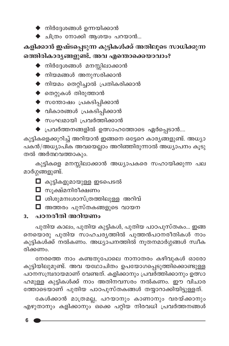$\blacklozenge$  നിർദ്ദേശങ്ങൾ ഉന്നയിക്കാൻ

 $\blacklozenge$  ചിത്രം നോക്കി ആശയം പറയാൻ...

കളിക്കാൻ ഇഷ്ടപ്പെടുന്ന കുട്ടികൾക്ക് അതിലൂടെ സാധിക്കുന്ന ഒത്തിരികാരൃങ്ങളുണ്ട്. അവ എന്തൊക്കെയാവാം?

- $\blacklozenge$  നിർദ്ദേശങ്ങൾ മനസ്സിലാക്കാൻ
- $\blacklozenge$  നിയമങ്ങൾ അനുസരിക്കാൻ
- $\blacklozenge$  നിയമം തെറ്റിച്ചാൽ പ്രതികരിക്കാൻ
- $\blacklozenge$  തെറ്റുകൾ തിരുത്താൻ
- $\blacklozenge$  സന്തോഷം പ്രകടിപ്പിക്കാൻ
- $\blacklozenge$  വികാരങ്ങൾ പ്രകടിപ്പിക്കാൻ
- $\blacklozenge$  സംഘമായി പ്രവർത്തിക്കാൻ
- $\blacklozenge$  പ്രവർത്തനങ്ങളിൽ ഉത്സാഹത്തോടെ ഏർപ്പെടാൻ....

കുട്ടികളെക്കുറിച്ച് അറിയാൻ ഇങ്ങനെ ഒട്ടേറെ കാര്യങ്ങളുണ്ട്. അധ്യാ പകൻ/അധ്യാപിക അവയെല്ലാം അറിഞ്ഞിരുന്നാൽ അധ്യാപനം കൂടു തൽ അർത്ഥവത്താകും.

കുട്ടികളെ മനസ്സിലാക്കാൻ അധ്യാപകരെ സഹായിക്കുന്ന പല മാർഗ്ഗങ്ങളുണ്ട്.

- ◘ കുട്ടികളുമായുള്ള ഇടപെടൽ
- ◘ സൂക്ഷ്മനിരീക്ഷണം
- ◘ ശിശുമനഃശാസ്ത്രത്തിലുള്ള അറിവ്
- $\Box$  അത്തരം പുസ്തകങ്ങളുടെ വായന

#### പഠനരീതി അറിയണം  $3.$

പുതിയ കാലം, പുതിയ കുട്ടികൾ, പുതിയ പാഠപുസ്തകം... ഇങ്ങ നെയൊരു പുതിയ സാഹചര്യത്തിൽ പുത്തൻപഠനരീതികൾ നാം കുട്ടികൾക്ക് നൽകണം. അധ്യാപനത്തിൽ നൂതനമാർഗ്ഗങ്ങൾ സ്ഥീക രിക്കണം.

നേരത്തെ നാം കണ്ടതുപോലെ നാനാതരം കഴിവുകൾ ഓരോ കുട്ടിയിലുമുണ്ട്. അവ യഥോചിതം ഉപയോഗപ്പെടുത്തിക്കൊണ്ടുള്ള പഠനസമ്പ്രദായമാണ് വേണ്ടത്. കളിക്കാനും പ്രവർത്തിക്കാനും ഉത്സാ ഹമുള്ള കുട്ടികൾക്ക് നാം അതിനവസരം നൽകണം. ഈ വിചാര ത്തോടെയാണ് പുതിയ പാഠപുസ്തകങ്ങൾ തയ്യാറാക്കിയിട്ടുള്ളത്.

കേൾക്കാൻ മാത്രമല്ല, പറയാനും കാണാനും വരയ്ക്കാനും എഴുതാനും കളിക്കാനും ്ഒകെ പറ്റിയ നിരവധി പ്രവർത്തനങ്ങൾ

6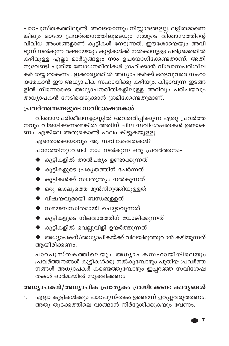പാഠപുസ്തകത്തിലുണ്ട്. അവയൊന്നും നിസ്സാരങ്ങളല്ല. ലളിതമാണെ ങ്കിലും ഓരോ പ്രവർത്തനത്തിലൂടെയും ന്മ്മുടെ വിശ്വാസത്തിന്റെ വിവിധ അംശങ്ങളാണ് കുട്ടികൾ നേടുന്നത്. ഈശോയെയും അവി ടുന്ന് നൽകുന്ന രക്ഷയേയും കുട്ടികൾക്ക് നൽകാനുള്ള പരിശ്രമത്തിൽ കഴിവുള്ള എല്ലാ മാർഗ്ഗങ്ങളും നാം ഉപയോഗിക്കേണ്ടതാണ്. അതി നുവേണ്ടി പുതിയ ബോധനരീതികൾ ഗ്രഹിക്കാൻ വിശ്വാസപരിശീല കർ തയ്യാറാകണം. ഇക്കാര്യത്തിൽ അധ്യാപകർക്ക് ഒരളവുവരെ സഹാ യമേകാൻ ഈ അധ്യാപിക സഹായിക്കു കഴിയും. കിട്ടാവുന്ന ഇടങ്ങ ളിൽ നിന്നൊക്കെ അധ്യാപനരീതികളിലുള്ള അറിവും പരിചയവും അധ്യാപകൻ നേടിയെടുക്കാൻ ശ്രമിക്കേണ്ടതുമാണ്.

## പ്രവർത്തനങ്ങളുടെ സവിശേഷതകൾ

വിശ്വാസപരിശീലനക്ലാസ്സിൽ അവതരിപ്പിക്കുന്ന ഏതു പ്രവർത്ത നവും വിജയിക്കണമെങ്കിൽ അതിന് ചില സവിശേഷതകൾ ഉണ്ടാക ണം. എങ്കിലേ അതുകൊണ്ട് ഫലം കിട്ടുകയുള്ളൂ.

എന്തൊക്കെയാവും ആ സവിശേഷതകൾ? പഠനത്തിനുവേണ്ടി നാം നൽകുന്ന ഒരു പ്രവർത്തനം-

- $\blacklozenge$  കുട്ടികളിൽ താൽപര്യം ഉണ്ടാക്കുന്നത്
- $\blacklozenge$  കുട്ടികളുടെ പ്രകൃതത്തിന് ചേർന്നത്
- $\blacklozenge$  കുട്ടികൾക്ക് സ്വാതന്ത്ര്യം നൽകുന്നത്
- $\blacklozenge$  ഒരു ലക്ഷ്യത്തെ മുൻനിറുത്തിയുള്ളത്
- $\blacklozenge$  വിഷയവുമായി ബന്ധമുള്ളത്
- $\blacklozenge$  സമയബന്ധിതമായി ചെയ്യാവുന്നത്
- $\blacklozenge$  കുട്ടികളുടെ നിലവാരത്തിന് യോജിക്കുന്നത്
- $\blacklozenge$  കുട്ടികളിൽ വെല്ലുവിളി ഉയർത്തുന്നത്

 $\blacklozenge$  അധ്യാപകന്/അധ്യാപികയ്ക്ക് വിലയിരുത്തുവാൻ കഴിയുന്നത് ആയിരിക്കണം.

പാഠപുസ്തകത്തിലെയും അധ്യാപകസഹായിയിലെയും പ്രവർത്തനങ്ങൾ കുട്ടികൾക്കു നൽകുമ്പോഴും പുതിയ പ്രവർത്ത നങ്ങൾ അധ്യാപകർ കണ്ടെത്തുമ്പോഴും ഇപ്പറഞ്ഞ സവിശേഷ തകൾ ഓർമ്മയിൽ സൂക്ഷിക്കണം.

## അധ്യാപകൻ/അധ്യാപിക പ്രത്യേകം ശ്രദ്ധിക്കേണ്ട കാര്യങ്ങൾ

എല്ലാ കുട്ടികൾക്കും പാഠപുസ്തകം ഉണ്ടെന്ന് ഉറപ്പുവരുത്തണം. 1. അതു തുടക്കത്തിലെ വാങ്ങാൻ നിർദ്ദേശിക്കുകയും വേണം.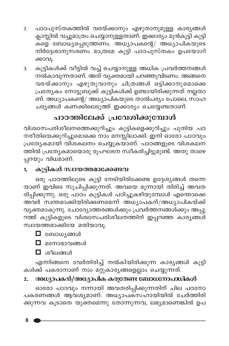- പാഠപുസ്തകത്തിൽ വരയ്ക്കാനും എഴുതാനുമുള്ള കാര്യങ്ങൾ  $\overline{2}$ . ക്ലാസ്സിൽ വച്ചുമാത്രം ചെയ്യാനുള്ളതാണ്. ഇക്കാര്യം മുൻകൂട്ടി കുട്ടി കളെ ബോധ്യപ്പെടുത്തണം. അധ്യാപകന്റെ/ അധ്യാപികയുടെ നിർദ്ദേശാനുസരണം മാത്രമേ കുട്ടി പാഠപുസ്തകം ഉപയോഗി ക്കാവൂ.
- കുട്ടികൾക്ക് വീട്ടിൽ വച്ച് ചെയ്യാനുള്ള അധിക പ്രവർത്തനങ്ങൾ 3. നൽകാവുന്നതാണ്. അത് വ്യക്തമായി പറഞ്ഞുവിടണം. അങ്ങനെ വരയ്ക്കാനും എഴുതുവാനും ചിത്രങ്ങൾ ഒട്ടിക്കാനുമൊക്കെ പ്രത്യേകം നോട്ടുബുക്ക് കുട്ടികൾക്ക് ഉണ്ടായിരിക്കുന്നത് നല്ലതാ ണ്. അധ്യാപകന്റെ/ അധ്യാപികയുടെ താൽപര്യം പോലെ, സാഹ ചര്യങ്ങൾ കണക്കിലെടുത്ത് ഇക്കാര്യം ചെയ്യേണ്ടതാണ്.

# പാഠത്തിലേക്ക് പ്രവേശിക്കുമ്പോൾ

വിശ്വാസപരിശീലനത്തെക്കുറിച്ചും കുട്ടികളെക്കുറിച്ചും പുതിയ പഠ നരീതിയെക്കുറിച്ചുമൊക്കെ നാം മനസ്സിലാക്കി. ഇനി ഓരോ പാഠവും പ്രത്യേകമായി വിശകലനം ചെയ്യുകയാണ്. പാഠങ്ങളുടെ വിശകലന ത്തിൽ പ്രത്യേകമായൊരു രൂപഘടന സ്ഥീകരിച്ചിട്ടുമുണ്ട്. അതു താഴെ പ്പറയും വിധമാണ്.

#### കുട്ടികൾ സ്വായത്തമാക്കേണ്ടവ 1.

ഒരു പാഠത്തിലൂടെ കുട്ടി നേടിയിരിക്കേണ്ട ഉദ്ദേശ്യങ്ങൾ തന്നെ യാണ് ഇവിടെ സൂചിപ്പിക്കുന്നത്. അവയെ മൂന്നായി തിരിച്ച് അവത രിപ്പിക്കുന്നു. ഒരു പാഠം കുട്ടികൾ പഠിച്ചുകഴിയുമ്പോൾ എന്തൊക്കെ അവർ സ്ഥതമാക്കിയിരിക്കണമെന്ന് അധ്യാപകന്/അധ്യാപികയ്ക്ക് വൃക്തമാകുന്നു. ചോദ്യോത്തരങ്ങൾക്കും പ്രവർത്തനങ്ങൾക്കും അപ്പു റത്ത് കുട്ടികളുടെ വിശ്വാസപരിശീലനത്തിന് ഇപ്പറഞ്ഞ കാര്യങ്ങൾ സ്വായത്തമാക്കിയേ മതിയാവു.

 $\Box$  ബോധ്യങ്ങൾ

 $\Box$  മനോഭാവങ്ങൾ

 $\Box$  ശീലങ്ങൾ

എന്നിങ്ങനെ വേർതിരിച്ച് നൽകിയിരിക്കുന്ന കാര്യങ്ങൾ കുട്ടി കൾക്ക് പകരാനാണ് നാം മറ്റുകാരൃങ്ങളെല്ലാം ചെയ്യുന്നത്.

#### അധ്യാപകൻ/അധ്യാപിക കരുതേണ്ട ബോധനോപാധികൾ  $2.$

ഓരോ പാഠവും നന്നായി അവതരിപ്പിക്കുന്നതിന് ചില പഠനോ പകരണങ്ങൾ ആവശ്യമാണ്. അധ്യാപക്സഹായിയിൽ ചേർത്തിരി ക്കുന്നവ കൂടാതെ യുക്തമെന്നു തോന്നുന്നവ, ലഭ്യമാണെങ്കിൽ ഉപ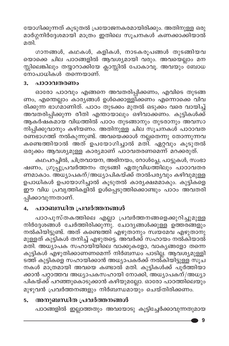യോഗിക്കുന്നത് കൂടുതൽ പ്രയോജനകരമായിരിക്കും. അതിനുള്ള ഒരു മാർഗ്ഗനിർദ്ദേശമായി മാത്രം ഇതിലെ സൂചനകൾ കണക്കാക്കിയാൽ മതി.

ഗാനങ്ങൾ, കഥകൾ, കളികൾ, നാടകരൂപങ്ങൾ തുടങ്ങിയവ യൊക്കെ ചില പാഠങ്ങളിൽ ആവശ്യമായി വരും. അവയെല്ലാം മന സ്സിലെങ്കിലും തയ്യാറാക്കിയേ ക്ലാസ്സിൽ പോകാവൂ. അവയും ബോധ നോപാധികൾ തന്നെയാണ്.

#### 3. പാഠാവതരണം

ഓരോ പാഠവും എങ്ങനെ അവതരിപ്പിക്കണം, എവിടെ തുടങ്ങ ണം, എന്തെല്ലാം കാര്യങ്ങൾ ഉൾക്കൊള്ളിക്കണം എന്നൊക്കെ വിവ രിക്കുന്ന ഭാഗമാണിത്. പാഠം തുടക്കം മുതൽ ഒടുക്കം വരെ വായിച്ച് അവതരിപ്പിക്കുന്ന രീതി എന്തായാലും ഒഴിവാക്കണം. കുട്ടികൾക്ക് ആകർഷകമായ വിധത്തിൽ പാഠം തുടങ്ങാനും തുടരാനും അവസാ നിപ്പിക്കുവാനും കഴിയണം. അതിനുള്ള ചില സൂചനകൾ പാഠാവത രണഭാഗത്ത് നൽകുന്നുണ്ട്. അവയെക്കാൾ നല്ലതെന്നു തോന്നുന്നവ ഒരുക്കം ആവശ്യമുള്ള കാര്യമാണ് പാഠവതരണമെന്ന് മറക്കരുത്.

കഥപറച്ചിൽ, ചിത്രവായന, അഭിനയം, റോൾപ്ലേ, പാട്ടുകൾ, സംഭാ ഷണം, ഗ്രൂപ്പുപ്രവർത്തനം തുടങ്ങി ഏതുവിധത്തിലും പാഠാവതര ണമാകാം. അധ്യാപകന്/അധ്യാപികയ്ക്ക് താൽപര്യവും കഴിവുമുള്ള ഉപാധികൾ ഉപയോഗിച്ചാൽ കൂടുതൽ കാര്യക്ഷമമാകും. കുട്ടികളെ ഈ വിധ പ്രവൃത്തികളിൽ ഉൾപ്പെടുത്തിക്കൊണ്ടും പാഠം അവതരി പ്പിക്കാവുന്നതാണ്.

#### പാഠബന്ധിത പ്രവർത്തനങ്ങൾ 4.

പാഠപുസ്തകത്തിലെ എല്ലാ പ്രവർത്തനങ്ങളെക്കുറിച്ചുമുള്ള നിർദ്ദേശങ്ങൾ ചേർത്തിരിക്കുന്നു. ചോദ്യങ്ങൾക്കുള്ള ഉത്തരങ്ങളും നൽകിയിട്ടുണ്ട്. അത് കണ്ടെത്തി എഴുതാനും സ്വയമേവ എഴുതാനു മുള്ളത് കുട്ടികൾ തനിച്ച് എഴുതട്ടെ. അവർക്ക് സഹായം നൽകിയാൽ മതി. അധ്യാപക സഹായിയിലെ വാക്കുകളോ, വാക്യങ്ങളോ തന്നെ കുട്ടികൾ എഴുതിക്കാണണമെന്ന് നിർബന്ധം പാടില്ല. ആവശ്യമുള്ളി ടത്ത് കുട്ടികളെ സഹായിക്കാൻ അധ്യാപകർക്ക് നൽ്കിയിട്ടുള്ള സൂച നകൾ മാത്രമായി അവയെ കണ്ടാൽ മതി. കുട്ടികൾക്ക് പൂർത്തിയാ ക്കാൻ പറ്റാത്തവ അധ്യാപകസഹായി നോക്കി, അധ്യാപകന്/അധ്യാ പികയ്ക്ക് പറഞ്ഞുകൊടുക്കാൻ കഴിയുമല്ലോ. ഓരോ പാഠത്തിലെയും മുഴുവൻ പ്രവർത്തനങ്ങളും നിർബന്ധമായും ചെയ്തിരിക്കണം.

#### അനുബന്ധിത പ്രവർത്തനങ്ങൾ 5.

പാഠങ്ങളിൽ ഇല്ലാത്തതും അവയോടു കൂട്ടിച്ചേർക്കാവുന്നതുമായ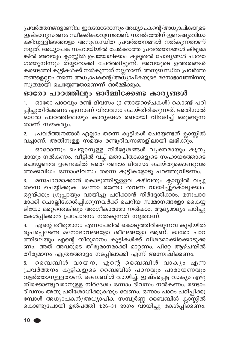(പവർത്തനങ്ങളാണിവ. ഇവയോരോന്നും അധ്യാപകന്റെ/അധ്യാപികയുടെ ഇഷ്ടാനുസരണം സ്ഥകരിക്കാവുന്നതാണ്. സന്ദർഭത്തിന് ഇണങ്ങുംവിധം കഴിവുള്ളിടത്തോളം അനുബന്ധിത പ്രവർത്തനങ്ങൾ നൽകുന്നതാണ് നല്ലത്. അധ്യാപക സഹായിയിൽ ചേർക്കാത്ത പ്രവർത്തനങ്ങൾ കിട്ടുമെ ങ്കിൽ അവയും ക്ലാസ്സിൽ ഉപയോഗിക്കാം. കൂടുതൽ ചോദ്യങ്ങൾ പാഠഭാ ഗത്തുനിന്നും ത്യ്യാറാക്കി ചേർത്തിട്ടുണ്ട്. അവയുടെ ഉത്തരങ്ങൾ കണ്ടെത്തി കുട്ടികൾക്ക് നൽകുന്നത് നല്ലതാണ്. അനുബന്ധിത പ്രവർത്ത നങ്ങളെല്ലാം തന്നെ അധ്യാപകന്റെ/അധ്യാപികയുടെ മനോഭാവത്തിനനു സൃതമായി ചെയ്യേണ്ടതാണെന്ന് ഓർമ്മിക്കുക.

### **ഓരോ പാഠത്തിലും ഓർമ്മിക്കേണ്ട കാര്യങ്ങൾ**

1. ഒാരോ പാഠവും രണ്ട് ദിവസം (2 ഞായറാഴ്ചകൾ) കൊണ്ട് പഠി പ്പിച്ചുതീർക്കണം എന്നാണ് വിഭാവനം ചെയ്തിരിക്കുന്നത്. അതിനാൽ  $\overline{\textbf{a}}$ ാരോ പാഠത്തിലെയും കാര്യങ്ങൾ രണ്ടായി വിഭജിച്ച് ഒരുങ്ങുന്ന താണ് സൗകര്യം.

2. പ്രവർത്തനങ്ങൾ എല്ലാം തന്നെ കുട്ടികൾ ചെയ്യേണ്ടത് ക്ലാസ്സിൽ വച്ചാണ്. അതിനുള്ള സമയം രണ്ടുദിവസങ്ങളിലായി ലഭിക്കും.

ഓരോന്നും ചെയ്യാനുള്ള നിർദ്ദേശങ്ങൾ വൃക്തമായും കൃതൃ മായും നൽകണം. വീട്ടിൽ വച്ച് മതാപിതാക്കളുടെ സഹായത്തോടെ ചെയ്യേണ്ടവ ഉണ്ടെങ്കിൽ അത് രണ്ടാം ദിവസം ചെയ്തുകൊണ്ടുവര ത്തക്കവിധം ഒന്നാംദിവസം തന്നെ കുട്ടികളോടു പറഞ്ഞുവിടണം.

3. മനഃപാഠമാക്കാൻ കൊടുത്തിട്ടുള്ളവ കഴിവതും ക്ലാസ്സിൽ വച്ചു തന്നെ ചെയ്യിക്കുക. ഒന്നോ രണ്ടോ തവണ വായിച്ചുകൊടുക്കാം. ഒറ്റയ്ക്കും ഗ്രൂപ്പായും വായിച്ചു പഠിക്കാൻ നിർദ്ദേശിക്കാം. മനഃപാഠ മാക്കി ചൊല്ലിക്കേൾപ്പിക്കുന്നവർക്ക് ചെറിയ സമ്മാനങ്ങളോ കൈയ്യ ടിയോ മറ്റെന്തെങ്കിലും അംഗീകാരമോ നൽകാം. ആദ്യമാദ്യം പഠിച്ചു കേൾപ്പിക്കാൻ പ്രചോദനം നൽകുന്നത് നല്ലതാണ്.

4. എന്റെ തീരുമാനം എന്നപേരിൽ കൊടുത്തിരിക്കുന്നവ കുട്ടിയിൽ രൂപപ്പെടേണ്ട മനോഭാവങ്ങളോ ശീലങ്ങളോ ആണ്. ഓരോ പാഠ ത്തിലെയും എന്റെ തീരുമാനം കുട്ടികൾക്ക് വിശദമാക്കിക്കൊടുക്ക ണം. അത് അവരുടെ തീരുമാനമാക്കി മാറ്റണം. പിറ്റേ ആഴ്ചയിൽ തീരുമാനം എത്രത്തോളം നടപ്പിലാക്കി എന്ന് അന്വേഷിക്കണം.

5. ബൈബിൾ വായന, എന്റെ ബൈബിൾ വാകൃം എന്ന പ്രവർത്തനം കുട്ടികളുടെ ബൈബിൾ പഠനവും പാരായണവും വളർത്താനുള്ളതാണ്. ബൈബിൾ വായിച്ച്, ഇഷ്ടപ്പെട്ട വാക്യം എഴു തിക്കൊണ്ടുവരാനുള്ള നിർദേശം ഒന്നാം ദിവസം നൽകണം. രണ്ടാം ദിവസം അതു പരിശോധിക്കുകയും വേണം. ഒന്നാം പാഠം പഠിപ്പിക്കു സ്ഥോൾ അധ്യാപകൻ/അധ്യാപിക സമ്പൂർണ്ണ ബൈബിൾ ക്ലാസ്സിൽ കൊണ്ടുപോയി ഉൽപത്തി 1:26-31 ഭാഗം വായിച്ചു കേൾപ്പിക്കണം.

**10**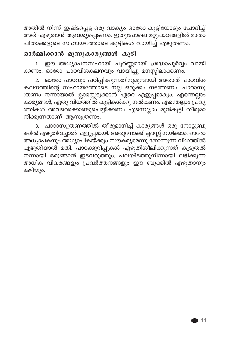അതിൽ നിന്ന് ഇഷ്ടപ്പെട്ട ഒരു വാക്യം ഓരോ കുട്ടിയോടും ചോദിച്ച് അത് എഴുതാൻ ആവശ്യപ്പെടണം. ഇതുപോലെ മറ്റുപാഠങ്ങളിൽ മാതാ പിതാക്കളുടെ സഹായത്തോടെ കുട്ടികൾ വായിച്ച് എഴുതണം.

### ഓർമ്മിക്കാൻ മൂന്നുകാരൃങ്ങൾ കൂടി

1. ഈ അധ്യാപനസഹായി പൂർണ്ണമായി ശ്രദ്ധാപൂർവ്വം വായി ക്കണം. ഓരോ പാഠവിശകലനവും വായിച്ചു മനസ്സിലാക്കണം.

2. ഓരോ പാഠവും പഠിപ്പിക്കുന്നതിനുമുമ്പായി അതാത് പാഠവിശ കലനത്തിന്റെ സഹായത്തോടെ നല്ല ഒരുക്കം നടത്തണം. പാഠാസൂ ത്രണം നന്നായാൽ ക്ലാസ്സെടുക്കാൻ ഏറെ എളുപ്പമാകും. എന്തെല്ലാം -<br>കാര്യങ്ങൾ, ഏതു വിധ്ത്തിത് കുട്ടികൾക്കു നൽകണം. എന്തെല്ലാം പ്ര്വൃ ത്തികൾ അവരെക്കൊണ്ടുചെയ്യിക്കണം എന്നെല്ലാം മുൻകൂട്ടി തീരുമാ നിക്കുന്നതാണ് ആസൂത്രണം.

3. പാഠാസൂത്രണത്തിൽ തീരുമാനിച്ച് കാര്യങ്ങൾ ഒരു നോട്ടുബു ക്കിൽ എഴുതിവച്ചാൽ എളുപ്പമായി. അതുനോക്കി ക്ലാസ്സ് നയിക്കാം. ഓരോ അധ്യാപകനും അധ്യാപികയ്ക്കും സൗകര്യമെന്നു് തോന്നുന്ന വിധത്തിൽ എഴുതിയാൽ മതി. പാഠക്കുറിപ്പുകൾ എഴുതിശീലിക്കുന്നത് കൂടുതൽ നന്നായി ഒരുങ്ങാൻ ഇടവരുത്തും. പലയിടത്തുനിന്നായി ലഭിക്കുന്ന അധിക വിവരങ്ങളും പ്രവർത്തനങ്ങളും ഈ ബുക്കിൽ എഴുതാനും കഴിയും.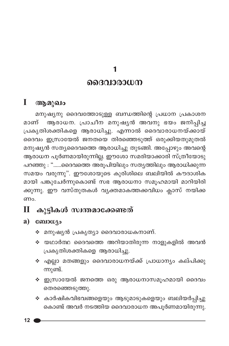### $\mathbf{1}$

### ദൈവാരാധന

#### L ആമുഖം

മനുഷ്യനു ദൈവത്തോടുള്ള ബന്ധത്തിന്റെ പ്രധാന പ്രകാശന ആരാധന. പ്രാചീന മനുഷ്യൻ അവനു ഭയം ജനിപ്പിച്ച മറണ് പ്രകൃതിശക്തികളെ ആരാധിച്ചു. എന്നാൽ ദൈവാരാധനയ്ക്കായ് ദൈവം ഇസ്രായേൽ ജനതയെ തിരഞ്ഞെടുത്ത് ഒരുക്കിയതുമുതൽ മനുഷ്യൻ സത്യദൈവത്തെ ആരാധിച്ചു തുടങ്ങി. അപ്പോഴും അവന്റെ ആരാധന പൂർണമായിരുന്നില്ല. ഈശോ സമരിയാക്കാരി സ്ത്രീയോടു പറഞ്ഞു : "......ദൈവത്തെ അരൂപിയിലും സത്യത്തിലും ആരാധിക്കുന്ന സമയം വരുന്നു". ഈശോയുടെ കുരിശിലെ ബലിയിൽ കൗദാശിക മായി പങ്കുചേർന്നുകൊണ്ട് സഭ ആരാധനാ സമൂഹമായി മാറിയിരി ക്കുന്നു. ഈ വസ്തുതകൾ വ്യക്തമാകത്തക്കവിധം ക്ലാസ് നയിക്ക ണം.

### $\mathbf H$  കുട്ടികൾ സ്വന്തമാക്കേണ്ടത്

### a) consource

- ∻ മനുഷൃൻ പ്രകൃതൃാ ദൈവാരാധകനാണ്.
- ∻ യഥാർത്ഥ ദൈവത്തെ അറിയാതിരുന്ന നാളുകളിൽ അവൻ പ്രകൃതിശക്തികളെ ആരാധിച്ചു.
- ❖ എല്ലാ മതങ്ങളും ദൈവാരാധനയ്ക്ക് പ്രാധാന്യം കല്പിക്കു ന്നുണ്ട്.
- ∻ ഇസ്രായേൽ ജനത്തെ ഒരു ആരാധനാസമൂഹമായി ദൈവം തെരഞ്ഞെടുത്തു.
- ❖ കാർഷികവിഭവങ്ങളെയും ആടുമാടുകളെയും ബലിയർപ്പിച്ചു കൊണ്ട് അവർ നടത്തിയ ദൈവാരാധന അപൂർണമായിരുന്നു.

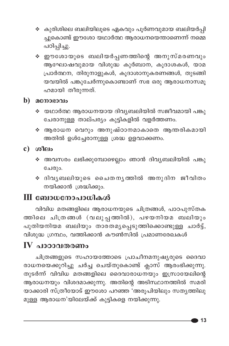- ❖ കുരിശിലെ ബലിയിലൂടെ ഏകവും പൂർണവുമായ ബലിയർപ്പി ച്ചുകൊണ്ട് ഈശോ യഥാർത്ഥ ആരാധനയെന്താണെന്ന് നമ്മെ പഠിപ്പിച്ചു.
- ∻ ഈശോയുടെ ബലിയർപ്പണത്തിന്റെ അനുസ്മരണവും ആഘോഷവുമായ വിശുദ്ധ കുർബാന, കൂദാശകൾ, യാമ പ്രാർത്ഥന, തിരുനാളുകൾ, കൂദാശാനുകരണങ്ങൾ, തുടങ്ങി യവയിൽ പങ്കുചേർന്നുകൊണ്ടാണ് സഭ ഒരു ആരാധനാസമൂ ഹമായി തീരുന്നത്.

### $\mathbf b$ )  $\mathbf a$  and  $\mathbf a$

- ❖ യഥാർത്ഥ ആരാധനയായ ദിവ്യബലിയിൽ സജീവമായി പങ്കു ചേരാനുള്ള താല്പര്യം കുട്ടികളിൽ വളർത്തണം.
- ∻ ആരാധന വെറും അനുഷ്ഠാനമാകാതെ ആന്തരികമായി അതിൽ ഉൾച്ചേരാനുള്ള ശ്രദ്ധ ഉളവാക്കണം.

 $c)$  ശീലം

- ❖ അവസരം ലഭിക്കുമ്പോഴെല്ലാം ഞാൻ ദിവ്യബലിയിൽ പങ്കു ചേരും.
- ∻ ദിവൃബലിയുടെ ചൈതനൃത്തിൽ അനുദിന ജീവിതം നയിക്കാൻ ശ്രദ്ധിക്കും.

# $III$  ബോധനോപാധികൾ

വിവിധ മതങ്ങളിലെ ആരാധനയുടെ ചിത്രങ്ങൾ, പാഠപുസ്തക ത്തിലെ ചിത്രങ്ങൾ (വലുപ്പത്തിൽ), പഴയനിയമ ബലിയും പുതിയനിയമ ബലിയും താരതമൃപ്പെടുത്തിക്കൊണ്ടുള്ള ചാർട്ട്, വിശുദ്ധ ഗ്രന്ഥം, വത്തിക്കാൻ കൗൺസിൽ പ്രമാണരേഖകൾ

# $\bf{IV}$  പാഠാവതരണം

ചിത്രങ്ങളുടെ സഹായത്തോടെ പ്രാചീനമനുഷ്യരുടെ ദൈവാ രാധനയെക്കുറിച്ചു ചർച്ച ചെയ്തുകൊണ്ട് ക്ലാസ് ആരംഭിക്കുന്നു. തുടർന്ന് വിവിധ മതങ്ങളിലെ ദൈവാരാധനയും ഇസ്രായേലിന്റെ ആരാധനയും വിശദമാക്കുന്നു. അതിന്റെ അടിസ്ഥാനത്തിൽ സമരി യാക്കാരി സ്ത്രീയോട് ഈശോ പറഞ്ഞ 'അരൂപിയിലും സത്യത്തിലു മുള്ള ആരാധന'യിലേയ്ക്ക് കുട്ടികളെ നയിക്കുന്നു.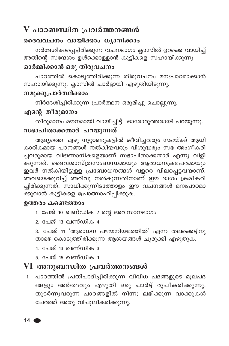# $\overline{\mathbf{V}}$  പാഠബന്ധിത പ്രവർത്തനങ്ങൾ

### ദൈവവചനം വായിക്കാം ധ്യാനിക്കാം

നർദേശിക്കപ്പെട്ടിരിക്കുന്ന വചനഭാഗം ക്ലാസിൽ ഉറക്കെ വായിച്ച് അതിന്റെ സന്ദേശം ഉൾക്കൊള്ളാൻ കുട്ടികളെ സഹായിക്കുന്നു

## ഓർമ്മിക്കാൻ ഒരു തിരുവചനം

പാഠത്തിൽ കൊടുത്തിരിക്കുന്ന തിരുവചനം മനഃപാഠമാക്കാൻ സഹായിക്കുന്നു. ക്ലാസിൽ ചാർട്ടായി എഴുതിയിടുന്നു.

# നമുക്കുപ്രാർത്ഥിക്കാം

നിർദേശിച്ചിരിക്കുന്ന പ്രാർത്ഥന ഒരുമിച്ചു ചൊല്ലുന്നു.

### എന്റെ തീരുമാനം

തീരുമാനം മൗനമായി വായിച്ചിട്ട് ഓരോരുത്തരായി പറയുന്നു. സഭാപിതാക്കന്മാർ പറയുന്നത്

ആദ്യത്തെ ഏഴു നൂറ്റാണ്ടുകളിൽ ജീവിച്ചവരും സഭയ്ക്ക് ആധി കാരികമായ പഠനങ്ങൾ നൽകിയവരും വിശുദ്ധരും സഭ അംഗീകരി ച്ചവരുമായ വിജ്ഞാനികളെയാണ് സഭാപിതാക്കന്മാർ എന്നു വിളി .<br>കുന്നത്. ദൈവശാസ്ത്രസംബന്ധമായും ആരാധനക്രമപരമായും ഇവർ നൽകിയിട്ടുള്ള പ്രബോധനങ്ങൾ വളരെ വിലപ്പെട്ടവയാണ്. അവയെക്കുറിച്ച് അറിവു നൽകുന്നതിനാണ് ഈ ഭാഗം ക്രമീകരി ച്ചിരിക്കുന്നത്. സാധിക്കുന്നിടത്തോളം ഈ വചനങ്ങൾ മനഃപാഠമാ ക്കുവാൻ കുട്ടികളെ പ്രോത്സാഹിപ്പിക്കുക.

### ഉത്തരം കണ്ടെത്താം

- 1. പേജ് 10 ഖണ്ഡിക 2 ന്റെ അവസാനഭാഗം
- 2. പേജ് 13 ഖണ്ഡിക 4

3. പേജ് 11 'ആരാധന പഴയനിയമത്തിൽ' എന്ന തലക്കെട്ടിനു താഴെ കൊടുത്തിരിക്കുന്ന ആശയങ്ങൾ ചുരുക്കി എഴുതുക.

- 4. പേജ് 13 **ഖണ്ഡിക** 3
- 5. പേജ് 15 ഖണ്ഡിക 1

# VI അനുബന്ധിത പ്രവർത്തനങ്ങൾ

1. പാഠത്തിൽ പ്രതിപാദിച്ചിരിക്കുന്ന വിവിധ പദങ്ങളുടെ മൂലപദ ങ്ങളും അർത്ഥവും എഴുതി ഒരു ചാർട്ട് രൂപീകരിക്കുന്നു. തുടർന്നുവരുന്ന പാഠങ്ങളിൽ നിന്നു ലഭിക്കുന്ന വാക്കുകൾ ചേർത്ത് അതു വിപുലീകരിക്കുന്നു.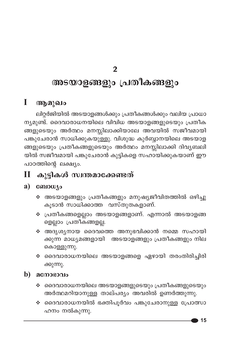### $\overline{2}$

# അടയാളങ്ങളും പ്രതീകങ്ങളും

## I ആമുഖം

ലിറ്റർജിയിൽ അടയാളങ്ങൾക്കും പ്രതീകങ്ങൾക്കും വലിയ പ്രാധാ ന്യമുണ്ട്. ദൈവാരാധനയിലെ വിവിധ അടയാളങ്ങളുടെയും പ്രതീക ങ്ങളുടെയും അർത്ഥം മനസ്സിലാക്കിയാലേ അവയിൽ സജീവമായി പങ്കുചേരാൻ സാധിക്കുകയുള്ളു. വിശുദ്ധ കുർബ്ബാനയിലെ അടയാള ങ്ങളുടെയും പ്രതീകങ്ങളുടെയും അർത്ഥം മനസ്സിലാക്കി ദിവൃബലി യിൽ സജീവമായി പങ്കുചേരാൻ കുട്ടികളെ സഹായിക്കുകയാണ് ഈ പാഠത്തിന്റെ ലക്ഷ്യം.

# $\mathbf H$  കുട്ടികൾ സ്വന്തമാക്കേണ്ടത്

### a) ബോധ്യം

- ❖ അടയാളങ്ങളും പ്രതീകങ്ങളും മനുഷ്യജീവിതത്തിൽ ഒഴിച്ചു കൂടാൻ സാധിക്കാത്ത വസ്തുതകളാണ്.
- ❖ പ്രതീകങ്ങളെല്ലാം അടയാളങ്ങളാണ്. എന്നാൽ അടയാളങ്ങ ളെല്ലാം പ്രതീകങ്ങളല്ല.
- ∻ അദൃശൃനായ ദൈവത്തെ അനുഭവിക്കാൻ നമ്മെ സഹായി ക്കുന്ന മാധ്യമങ്ങളായി അടയാളങ്ങളും പ്രതീകങ്ങളും നില കൊള്ളുന്നു.
- ∻ ദൈവാരാധനയിലെ അടയാളങ്ങളെ ഏഴായി തരംതിരിച്ചിരി ക്കുന്നു.
- b) മനോഭാവം
	- ❖ ദൈവാരാധനയിലെ അടയാളങ്ങളുടെയും പ്രതീകങ്ങളുടെയും അർത്ഥമറിയാനുള്ള താല്പര്യം അവരിൽ ഉണർത്തുന്നു.
	- ❖ ദൈവാരാധനയിൽ ഭക്തിപൂർവം പങ്കുചേരാനുള്ള പ്രോത്സാ ഹനം നൽകുന്നു.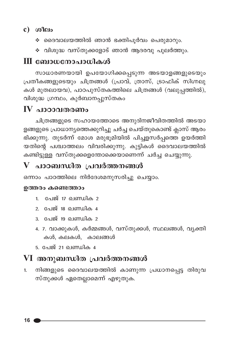### $c)$  ശീലം

- ❖ ദൈവാലയത്തിൽ ഞാൻ ഭക്തിപൂർവം പെരുമാറും.
- ❖ വിശുദ്ധ വസ്തുക്കളോട് ഞാൻ ആദരവു പൂലർത്തും.

# **III ബോധനോപാധികൾ**

സാധാരണയായി ഉപയോഗിക്കപ്പെടുന്ന അടയാളങ്ങളുടെയും പ്രതീകങ്ങളുടെയും ചിത്രങ്ങൾ (പ്രാവ്, ത്രാസ്, ട്രാഫിക് സിഗ്നലു കൾ മുതലായവ), പാഠപുസ്തകത്തിലെ ചിത്രങ്ങൾ (വലുപ്പത്തിൽ), വിശുദ്ധ ഗ്രന്ഥം, കുർബാനപ്പുസ്തകം

# $\bf{IV}$  പാഠാവതരണം

ചിത്രങ്ങളുടെ സഹായത്തോടെ അനുദിനജീവിതത്തിൽ അടയാ ളങ്ങളുടെ പ്രാധാന്യത്തെക്കുറിച്ചു ചർച്ച ചെയ്തുകൊണ്ട് ക്ലാസ് ആരം ഭിക്കുന്നു. തുടർന്ന് മോശ മരുഭൂമിയിൽ പിച്ചളസർപ്പത്തെ ഉയർത്തി യതിന്റെ പശ്ചാത്തലം വിവരിക്കുന്നു. കുട്ടികൾ ദൈവാലയത്തിൽ കണ്ടിട്ടുള്ള വസ്തുക്കളെന്തോക്കെയാണെന്ന് ചർച്ച ചെയ്യുന്നു.

# ${\bf V}$  പാഠബന്ധിത പ്രവർത്തനങ്ങൾ

ഒന്നാം പാഠത്തിലെ നിർദേശമനുസരിച്ചു ചെയ്യാം.

### ഉത്തരം കണ്ടെത്താം

- 1. പേജ് 17 ഖണ്ഡിക 2
- 2. പേജ് 18 ഖണ്ഡിക 4
- 3. പേജ് 19 ഖണ്ഡിക 2
- 4. 7. വാക്കുകൾ, കർമ്മങ്ങൾ, വസ്തുക്കൾ, സ്ഥലങ്ങൾ, വ്യക്തി കൾ, കലകൾ, കാലങ്ങൾ
- <u>5. പേജ് 21 ഖണ്ഡിക 4</u>

# VI അനുബന്ധിത പ്രവർത്തനങ്<mark>ങ</mark>ൾ

നിങ്ങളുടെ ദൈവാലയത്തിൽ കാണുന്ന പ്രധാനപ്പെട്ട തിരുവ  $1<sub>1</sub>$ സ്തുക്കൾ ഏതെല്ലാമെന്ന് എഴുതുക.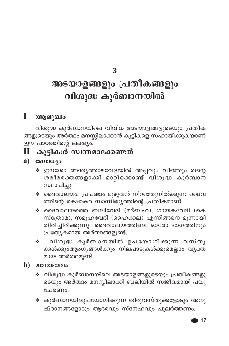3

# അടയാളങ്ങളും പ്രതീകങ്ങളും വിശുദ്ധ കുർബാനയിൽ

#### T ആമുഖം

വിശുദ്ധ കുർബാനയിലെ വിവിധ അടയാളങ്ങളുടെയും പ്രതീക ങ്ങളുടെയും അർത്ഥം മനസ്സിലാക്കാൻ കുട്ടികളെ സഹായിക്കുകയാണ് ഈ പാഠത്തിന്റെ ലക്ഷ്യം.

## $\rm{II}$  കുട്ടികൾ സ്വന്തമാക്കേണ്ടത്

### a) consource

- ❖ ഈശോ അന്ത്യത്താഴവേളയിൽ അപ്പവും വീഞ്ഞും തന്റെ <u>ശരീരരക്തങ്ങള്ാക്കി മാറ്റിക്കൊണ്ട് വിശുദ്ധ കുർബാന</u> സ്ഥാപിച്ചു.
- ❖ ദൈവാലയം, പ്രപഞ്ചം മുഴുവൻ നിറഞ്ഞുനിൽക്കുന്ന ദൈവ ത്തിന്റെ രക്ഷാകര സാന്നിദ്ധ്യത്തിന്റെ പ്രതീകമാണ്.
- $\boldsymbol{\hat{\cdot}}$  ദൈവാലയത്തെ ബലിവേദി (മദ്ബഹ), ഗായകവേദി (കെ സ്ത്രോമ), സമൂഹവേദി (ഹൈക്കല) എന്നിങ്ങനെ മൂന്നായി തിരിച്ചിരിക്കുന്നു. ദൈവാലയത്തിലെ ഓരോ ഭാഗത്തിനും പ്രത്യേകമായ അർത്ഥങ്ങളുണ്ട്.
- വിശുദ്ധ കുർബാനയിൽ ഉപയോഗിക്കുന്ന വസ്തു A. ക്കൾക്കുംആംഗൃങ്ങൾക്കും നിലപാടുകൾക്കുമെല്ലാം വൃക്ത മായ അർത്ഥമുണ്ട്.

### $\mathbf b)$  acmosonio

- വിശുദ്ധ കുർബാനയിലെ അടയാളങ്ങളുടെയും പ്രതീകങ്ങളു ടെയും അർത്ഥം മനസ്സിലാക്കി ബലിയിൽ സജീവമായി പങ്കു ചേരണം.
- ❖ കുർബാനയിലുപയോഗിക്കുന്ന തിരുവസ്തുക്കളോടും അനു ഷ്ഠാനങ്ങളോടും ആദരവും സ്നേഹവും പുലർത്തണം.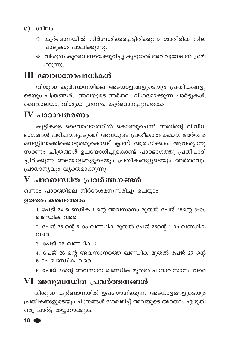## $c)$   $\omega$   $\omega$

- ∻ കുർബാനയിൽ നിർദേശിക്കപ്പെട്ടിരിക്കുന്ന ശാരീരിക നില പാടുകൾ പാലിക്കുന്നു.
- ❖ വിശുദ്ധ കുർബാനയെക്കുറിച്ചു കൂടുതൽ അറിവുനേടാൻ ശ്രമി ക്കുന്നു.

# **III ബോധനോപാധികൾ**

വിശുദ്ധ കുർബാനയിലെ അടയാളങ്ങളുടെയും പ്രതീകങ്ങളു ടെയും ചിത്രങ്ങൾ, അവയുടെ അർത്ഥം വിശദമാക്കുന്ന ചാർട്ടുകൾ, ദൈവാലയം, വിശുദ്ധ ഗ്രന്ഥം, കുർബാനപ്പുസ്തകം

# $IV$  പാഠാവതരണം

കുട്ടികളെ ദൈവാലയത്തിൽ കൊണ്ടുചെന്ന് അതിന്റെ വിവിധ ഭാഗങ്ങൾ പരിചയപ്പെടുത്തി അവയുടെ പ്രതീകാത്മകമായ അർത്ഥം മനസ്സിലാക്കിക്കൊടുത്തുകൊണ്ട് ക്ലാസ് ആരംഭിക്കാം. ആവശ്യാനു സരണം ചിത്രങ്ങൾ ഉപയോഗിച്ചുകൊണ്ട് പാഠഭാഗത്തു പ്രതിപാദി ച്ചിരിക്കുന്ന അടയാളങ്ങളുടെയും പ്രതീകങ്ങളുടെയും അർത്ഥവും പ്രാധാനൃവും വൃക്തമാക്കുന്നു.

# $\overline{\mathbf{V}}$  പാഠബന്ധിത പ്രവർത്തനങ്ങൾ

ഒന്നാം പാഠത്തിലെ നിർദേശമനുസരിച്ചു ചെയ്യാം.

### ഉത്തരം കണ്ടെത്താം

1. പേജ് 24 ഖണ്ഡിക 1 ന്റെ അവസാനം മുതൽ പേജ് 25ന്റെ 5-ാം ഖണ്ഡിക വരെ

2. പേജ് 25 ന്റെ 6–ാം ഖണ്ഡിക മുതൽ പേജ് 26ന്റെ 1–ാം ഖണ്ഡിക വരെ

<u>3. പേജ് 26 ഖണ്ഡിക 2</u>

4. പേജ് 26 ന്റെ അവസാനത്തെ ഖണ്ഡിക മുതൽ പേജ് 27 ന്റെ 6-ാം ഖണ്ഡിക് വരെ

5. പേജ് 27ന്റെ അവസാന ഖണ്ഡിക മുതൽ പാഠാവസാനം വരെ

# VI അനുബന്ധിത പ്രവർത്തനങ്ങൾ

1. വിശുദ്ധ കുർബാനയിൽ ഉപയോഗിക്കുന്ന അടയാളങ്ങളുടെയും പ്രതീകങ്ങളുടെയും ചിത്രങ്ങൾ ശേഖരിച്ച് അവയുടെ അർത്ഥം എഴുതി ഒരു ചാർട്ട് തയ്യാറാക്കുക.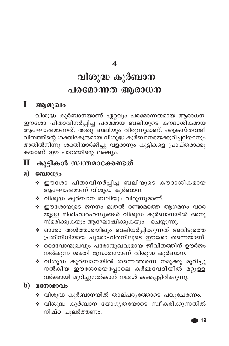$\overline{\mathbf{A}}$ 

# വിശുദ്ധ കുർബാന പരമോന്നത ആരാധന

#### I ആമുഖം

വിശുദ്ധ കുർബാനയാണ് ഏറ്റവും പരമോന്നതമായ ആരാധന. ഈശോ പിതാവിനർപ്പിച്ച പരമമായ ബലിയുടെ കൗദാശികമായ ആഘോഷമാണത്. അതു ബലിയും വിരുന്നുമാണ്. ക്രൈസ്തവജീ വിതത്തിന്റെ ശക്തികേന്ദ്രമായ വിശുദ്ധ കുർബാനയെക്കുറിച്ചറിയാനും അതിൽനിന്നു ശക്തിയാർജിച്ചു വളരാനും കുട്ടികളെ പ്രാപ്തരാക്കു കയാണ് ഈ പാഠത്തിന്റെ ലക്ഷ്യം.

#### കുട്ടികൾ സ്വന്തമാക്കേണ്ടത് П

#### a) ബോധ്യം

- ∻ ഈശോ പിതാവിനർപ്പിച്ച ബലിയുടെ കൗദാശികമായ ആഘോഷമാണ് വിശുദ്ധ കുർബാന.
- ❖ വിശുദ്ധ കുർബാന ബലിയും വിരുന്നുമാണ്.
- ❖ ഈശോയുടെ ജനനം മുതൽ രണ്ടാമത്തെ ആഗമനം വരെ സ്മരിക്കുകയും ആഘോഷിക്കുകയും ചെയ്യുന്നു.
- ∻ ഓരോ അൾത്താരയിലും ബലിയർപ്പിക്കുന്നത് അവിടുത്തെ പ്രതിനിധിയായ പുരോഹിതനിലൂടെ ഈശോ തന്നെയാണ്.
- ❖ ദൈവോന്മുഖവും പരോന്മുഖവുമായ ജീവിതത്തിന് ഊർജം നൽകുന്ന ശക്തി സ്രോതസാണ് വിശുദ്ധ കുർബാന.
- ∻ വിശുദ്ധ കുർബാനയിൽ തന്നെത്തന്നെ നമുക്കു മുറിച്ചു നൽകിയ ഈശോയെപ്പോലെ കർമ്മവേദിയിൽ മറ്റുള്ള വർക്കായി മുറിച്ചുനൽകാൻ നമ്മൾ കടപ്പെട്ടിരിക്കുന്നു.

### $\mathbf b)$  acmosonio

- ❖ വിശുദ്ധ കുർബാനയിൽ താല്പര്യത്തോടെ പങ്കുചേരണം.
- ❖ വിശുദ്ധ കുർബാന യോഗൃതയോടെ സ്വീകരിക്കുന്നതിൽ നിഷ്ഠ പുലർത്തണം.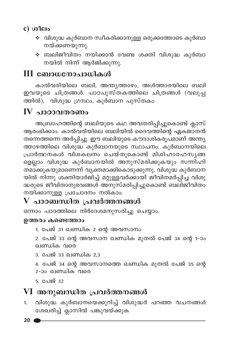## c) ശീലം

- ❖ വിശുദ്ധ കുർബാന സ്ഥീകരിക്കാനുള്ള ഒരുക്കത്തോടെ കുർബാ നയ്ക്കണയുന്നു.
- ❖ ബലിജീവിതം നയിക്കാൻ വേണ്ട ശക്തി വിശുദ്ധ കുർബാ നയിൽ നിന്ന് ആർജിക്കുന്നു.

# III ബോധനോപാധികൾ

കാൽവരിയിലെ ബലി, അന്ത്യത്താഴം, അൾത്താരയിലെ ബലി ഇവയുടെ ചിത്രങ്ങൾ. പാഠപുസ്തകത്തിലെ ചിത്രങ്ങൾ (വലുപ്പ ത്തിൽ), വിശുദ്ധ ഗ്രന്ഥം, കുർബാന പുസ്തകം

# $\bf{IV}$  പാഠാവതരണം

അബ്രാഹത്തിന്റെ ബലിയുടെ കഥ അവതരിപ്പിച്ചുകൊണ്ട് ക്ലാസ് ആരംഭിക്കാം. കാൽവരിയിലെ ബലിയിൽ ദൈവത്തിന്റെ ഏകജാതൻ തന്നെത്തന്നെ അർപ്പിച്ചു. ഈ ബലിയുടെ കൗദാശികരൂപമാണ് അന്ത്യ ത്താഴത്തിലെ വിശുദ്ധ കുർബാനയുടെ സ്ഥാപനം. കുർബാനയിലെ പ്രാർത്ഥനകൾ വിശകലനം ചെയ്തുകൊണ്ട് മിശിഹാരഹസൃങ്ങ ളെല്ലാം വിശുദ്ധ കുർബാനയിൽ അനുസ്മരിക്കുകയും സന്നിഹി ്ട്യ<br>തമാക്കുകയുമാണെന്ന് വൃക്തമാക്കികൊടുക്കുന്നു. വിശുദ്ധ കുർബാന യിൽ നിന്നു ശക്തിയാർജിച്ച് മറ്റുള്ളവർക്കായി ജീവിതമർപ്പിച്ച വിശു ദ്ധരുടെ ജീവിതാനുഭവങ്ങൾ അനുസ്മരിപ്പിച്ചുകൊണ്ട് ബലിജീവിതം നയിക്കാനുള്ള പ്രചോദനം നൽകാം.

# ${\bf V}$  പാഠബന്ധിത പ്രവർത്തനങ്ങൾ

ഒന്നാം പാഠത്തിലെ നിർദേശമനുസരിച്ചു ചെയ്യാം.

### ഉത്തരം കണ്ടെത്താം

1. പേജ് 31 ഖണ്ഡിക 2 ന്റെ അവസാനം

2. പേജ് 33 ന്റെ അവസാന ഖണ്ഡിക മുതൽ പേജ് 34 ന്റെ 1-ാം ഖണ്ഡിക വരെ

3. പേജ് 33 **ഖണ്ഡിക** 2,3

4. പേജ് 34 ന്റെ അവസാനത്തെ ഖണ്ഡിക മുതൽ പേജ് 35 ന്റെ 2-ാം ഖണ്ഡിക് വരെ

5. പേജ് 32

# VI അനുബന്ധിത പ്രവർത്തനങ്ങൾ

വിശുദ്ധ കുർബാനയെക്കുറിച്ച് വിശുദ്ധർ പറഞ്ഞ വചനങ്ങൾ  $1.$ ശേഖരിച്ച് ക്ലാസിൽ പങ്കുവയ്ക്കുക

 $20<sub>0</sub>$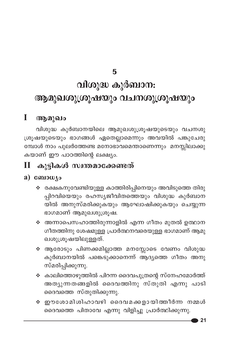**5**

# വിശുദ്ധ കുർബാന: ആമുഖശുശ്രൂഷയും വചനശുശ്രൂഷയും

# **I** ആമുഖം

വിശുദ്ധ കുർബാനയിലെ ആമുഖശുശ്രൂഷയുടെയും വചനശു ്രശൂഷയുടെയും ഭാഗങ്ങൾ ഏതെല്ലാമെന്നും അവയിൽ പങ്കുചേരു  $\mathfrak C$ സ്വാൾ നാം പുലർത്തേണ്ട മനോഭാവമെന്താണെന്നും മനസ്സിലാക്കു കയാണ് ഈ പാഠത്തിന്റെ ലക്ഷ്യം.

# $II$  കൂട്ടികൾ സ്വന്തമാക്കേണ്ടത്

### **a**) c ดาว w yo

- ∻ രക്ഷകനുവേണ്ടിയുള്ള കാത്തിരിപ്പിനെയും അവിടുത്തെ തിരു പ്പിറവിയെയും രഹസ്യജീവിതത്തെയും വിശുദ്ധ കുർബാന യിൽ അനുസ്മരിക്കുകയും ആഘോഷിക്കുകയും ചെയ്യുന്ന ഭാഗമാണ് ആമുഖശുശൂഷ.
- ∻ അന്നാപെസഹാത്തിരുന്നാളിൽ എന്ന ഗീതം മുതൽ ഉത്ഥാന ഗീതത്തിനു ശേഷമുള്ള പ്രാർത്ഥനവരെയുള്ള ഭാഗമാണ് ആമു ഖശുശൂഷയിലുള്ളത്.
- ∻ ആരോടും പിണക്കമില്ലാത്ത മനസ്സോടെ വേണം വിശുദ്ധ കുർബാനയിൽ പങ്കെടുക്കാനെന്ന് ആദ്യത്തെ ഗീതം അനു സ്മരിപ്പിക്കുന്നു.
- ∻ കാലിത്തൊഴുത്തിൽ പിറന്ന ദൈവപുത്രന്റെ സ്നേഹമോർത്ത് അത്യുന്നതങ്ങളിൽ ദൈവത്തിനു സ്തുതി എന്നു പാടി ദൈവത്തെ സ്തുതിക്കുന്നു.
- ∻ ഈശോമിശിഹാവഴി ദൈവമക്കളായിത്തീർന്ന നമ്മൾ ദൈവത്തെ പിതാവേ എന്നു വിളിച്ചു പ്രാർത്ഥിക്കുന്നു.

**21**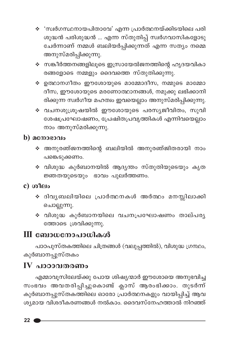- ∻ 'സ്വർഗസ്ഥനായപിതാവേ' എന്ന പ്രാർത്ഥനയ്ക്കിടയിലെ പരി ശുദ്ധൻ പരിശുദ്ധൻ ... എന്ന സ്തുതിപ്പ് സ്വർഗവാസികളോടു ചേർന്നാണ് നമ്മൾ ബലിയർപ്പിക്കുന്നത് എന്ന സത്യം നമ്മെ അനുസ്മരിപ്പിക്കുന്നു.
- ∻ സങ്കീർത്തനങ്ങളിലൂടെ ഇസ്രായേൽജനത്തിന്റെ ഹൃദയവികാ രങ്ങളോടെ നമ്മളും ദൈവത്തെ സ്തുതിക്കുന്നു.
- $\boldsymbol{\hat{v}}$  ഉത്ഥാനഗീതം ഈശോയുടെ മാമ്മോദീസ, നമ്മുടെ മാമ്മോ ദീസ, ഈശോയുടെ മരണോത്ഥാനങ്ങൾ, നമുക്കു ലഭിക്കാനി രിക്കുന്ന സ്വർഗീയ മഹത്വം ഇവയെല്ലാം അനുസ്മരിപ്പിക്കുന്നു.
- ❖ വചനശുശ്രൂഷയിൽ ഈശോയുടെ പരസ്യജീവിതം, സുവി ശേഷപ്രഘോഷണം, പ്രേഷിതപ്രവൃത്തികൾ എന്നിവയെല്ലാം നാം അനുസ്മരിക്കുന്നു.

b)  $\alpha$ നോഭാവം

- ∻ അനുരഞ്ജനത്തിന്റെ ബലിയിൽ അനുരഞ്ജിതരായി നാം പങ്കെടുക്കണം.
- ❖ വിശുദ്ധ കുർബാനയിൽ ആദ്യന്തം സ്തുതിയുടെയും കൃത ജ്ഞതയുടെയും ഭാവം പുലർത്തണം.

 $c)$  ശീലം

- ∻ ദിവൃബലിയിലെ പ്രാർത്ഥനകൾ അർത്ഥം മനസ്സിലാക്കി ചൊല്ലുന്നു.
- ∻ വിശുദ്ധ കുർബാനയിലെ വചനപ്രഘോഷണം താല്പര<u>ൃ</u> ത്തോടെ ശ്രവിക്കുന്നു.

# $III$  ബോധനോപാധികൾ

പാഠപുസ്തകത്തിലെ ചിത്രങ്ങൾ (വലുപ്പത്തിൽ), വിശുദ്ധ ഗ്രന്ഥം, കുർബാനപ്പുസ്തകം

# $IV$  പാഠാവതരണം

എമ്മാവൂസിലേയ്ക്കു പോയ ശിഷ്യന്മാർ ഈശോയെ അനുഭവിച്ച സംഭവം അവതരിപ്പിച്ചുകൊണ്ട് ക്ലാസ് ആരംഭിക്കാം. തുടർന്ന് കുർബാനപ്പുസ്തകത്തിലെ ഓരോ പ്രാർത്ഥനകളും വായിപ്പിച്ച് ആവ ശ്യമായ വിശദീകരണങ്ങൾ നൽകാം. ദൈവസ്നേഹത്താൽ നിറഞ്ഞ്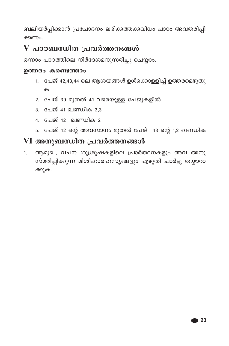ബലിയർപ്പിക്കാൻ പ്രചോദനം ലഭിക്കത്തക്കവിധം പാഠം അവതരിപ്പി ക്കണം.

# ${\bf V}$  പാഠബന്ധിത പ്രവർത്തനങ്ങൾ

ഒന്നാം പാഠത്തിലെ നിർദേശമനുസരിച്ചു ചെയ്യാം.

### ഉത്തരം കണ്ടെത്താം

- 1. പേജ് 42,43,44 ലെ ആശയങ്ങൾ ഉൾക്കൊള്ളിച്ച് ഉത്തരമെഴുതു  $\theta$
- 2. പേജ് 39 മുതൽ 41 വരെയുള്ള പേജുകളിൽ
- 3. പേജ് 41 ഖണ്ഡിക 2,3
- 4. പേജ് 42 ഖണ്ഡിക 2
- 5. പേജ് 42 ന്റെ അവസാനം മുതൽ പേജ് 43 ന്റെ 1,2 ഖണ്ഡിക

## VI അനുബന്ധിത പ്രവർത്തനങ്ങൾ

ആമുഖ, വചന ശുശ്രൂഷകളിലെ പ്രാർത്ഥനകളും അവ അനു  $1<sub>1</sub>$ സ്മരിപ്പിക്കുന്ന മിശിഹാരഹസ്യങ്ങളും എഴുതി ചാർട്ടു തയ്യാറാ ക്കുക.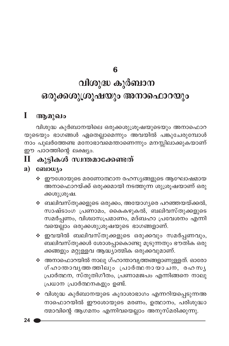### 6

# വിശുദ്ധ കുർബാന ഒരുക്കശുശ്രൂഷയും അനാഫൊറയും

## I ആമുഖം

വിശുദ്ധ കുർബാനയിലെ ഒരുക്കശുശ്രൂഷയുടെയും അനാഫൊറ യുടെയും ഭാഗങ്ങൾ ഏതെല്ലാമെന്നും അവയിൽ പങ്കുചേരുമ്പോൾ നാം പുലർത്തേണ്ട മനോഭാവമെന്താണെന്നും മനസ്സിലാക്കുകയാണ് ഈ പാഠത്തിന്റെ ലക്ഷ്യം.

### കുട്ടികൾ സ്വന്തമാക്കേണ്ടത്

### a)  $\omega_{\lambda}$

- ∻ ഈശോയുടെ മരണോത്ഥാന രഹസ്യങ്ങളുടെ ആഘോഷമായ അനാഫൊറയ്ക്ക് ഒരുക്കമായി നടത്തുന്ന ശുശ്രൂഷയാണ് ഒരു ക്കശുശ്രൂഷ.
- ❖ ബലിവസ്തുക്കളുടെ ഒരുക്കം, അയോഗൃരെ പറഞ്ഞയയ്ക്കൽ, സാഷ്ടാംഗ പ്രണാമം, കൈകഴുകൽ, ബലിവസ്തുക്കളുടെ സമർപ്പണം, വിശ്വാസപ്രമാണം, മദ്ബഹാ പ്രവേശനം എന്നി വയെല്ലാം ഒരുക്കശുശ്രൂഷയുടെ ഭാഗങ്ങളാണ്.
- ❖ ഇവയിൽ ബലിവസ്തുക്കളുടെ ഒരുക്കവും സമർപ്പണവും, ബലിവസ്തുക്കൾ ശോശപ്പാകൊണ്ടു മൂടുന്നതും ഭൗതിക ഒരു ക്കങ്ങളും മറ്റുള്ളവ ആദ്ധ്യാത്മിക ഒരുക്കവുമാണ്.
- ❖ അനാഫൊറയിൽ നാലു ഗ്ഹാന്താവൃത്തങ്ങളാണുള്ളത്. ഓരോ ഗ്ഹാന്താവൃത്തത്തിലും പ്രാർത്ഥനായാചന, രഹസ<u>ൃ</u> പ്രാർത്ഥന, സ്തുതിഗീതം, പ്രണാമജപം എന്നിങ്ങനെ നാലു പ്രധാന പ്രാർത്ഥനകളും ഉണ്ട്.
- ❖ വിശുദ്ധ കുർബാനയുടെ കൂദാശാഭാഗം എന്നറിയപ്പെടുന്നഅ നാഫൊറയിൽ ഈശോയുടെ മരണം, ഉത്ഥാനം, പരിശുദ്ധാ ത്മാവിന്റെ ആഗമനം എന്നിവയെല്ലാം അനുസ്മരിക്കുന്നു.

24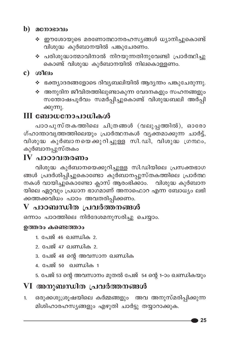### $\mathbf b)$  acmosono

- ❖ ഈശോയുടെ മരണോത്ഥാനരഹസ്യങ്ങൾ ധ്യാനിച്ചുകൊണ്ട് വിശുദ്ധ കുർബാനയിൽ പങ്കുചേരണം.
- ❖ പരിശുദ്ധാത്മാവിനാൽ നിറയുന്നതിനുവേണ്ടി പ്രാർത്ഥിച്ചു .<br>കൊണ്ട് വിശുദ്ധ കുർബാനയിൽ നിലകൊള്ളണം.

### $c)$   $\omega$   $\omega$

- ❖ ഭക്ത്യാദരങ്ങളോടെ ദിവ്യബലിയിൽ ആദ്യന്തം പങ്കുചേരുന്നു.
- ❖ അനുദിന ജീവിതത്തിലുണ്ടാകുന്ന വേദനകളും സഹനങ്ങളും സന്തോഷപൂർവം സമർപ്പിച്ചുകൊണ്ട് വിശുദ്ധബലി അർപ്പി ക്കുന്നു.

# III ബോധനോപാധികൾ

പാഠപുസ്തകത്തിലെ ചിത്രങ്ങൾ (വലുപ്പത്തിൽ), ഓരോ ഗ്ഹാന്താവൃത്തത്തിലെയും പ്രാർത്ഥനകൾ വൃക്തമാക്കുന്ന ചാർട്ട്, വിശുദ്ധ കുർബാനയെക്കുറിച്ചുള്ള സി.ഡി, വിശുദ്ധ ഗ്രന്ഥം, കുർബാനപ്പുസ്തകം

# IV പാറാവതരണം

വിശുദ്ധ കുർബാനയെക്കുറിച്ചുള്ള സി.ഡിയിലെ പ്രസക്തഭാഗ ങ്ങൾ പ്രദർശിപ്പിച്ചുകൊണ്ടോ കുർബാനപ്പുസ്തകത്തിലെ പ്രാർത്ഥ നകൾ വായിച്ചുകൊണ്ടോ ക്ലാസ് ആരംഭിക്കാം. വിശുദ്ധ കുർബാന യിലെ ഏറ്റവും പ്രധാന ഭാഗമാണ് അനാഫൊറ എന്ന ബോധ്യം ലഭി ്ക്ക് കാര്യം<br>ക്രത്തക്കവിധം പാഠം അവതരിപ്പിക്കണം.

# ${\bf V}$  പാഠബന്ധിത പ്രവർത്തനങ്ങൾ

ഒന്നാം പാഠത്തിലെ നിർദേശമനുസരിച്ചു ചെയ്യാം.

### ഉത്തരം കണ്ടെത്താം

- 1. പേജ് 46 ഖണ്ഡിക 2.
- 2. പേജ് 47 ഖണ്ഡിക 2.
- 3. പേജ് 48 ന്റെ അവസാന ഖണ്ഡിക
- 4. പേജ് 50 ഖണ്ഡിക 1
- 5. പേജ് 53 ന്റെ അവസാനം മുതൽ പേജ് 54 ന്റെ 1–ാം ഖണ്ഡികയും

# VI അനുബന്ധിത പ്രവർത്തനങ്ങൾ

ഒരുക്കശുശ്രൂഷയിലെ കർമ്മങ്ങളും അവ അനുസ്മരിപ്പിക്കുന്ന 1. മിശിഹാരഹസ്യങ്ങളും എഴുതി ചാർട്ടു തയ്യാറാക്കുക.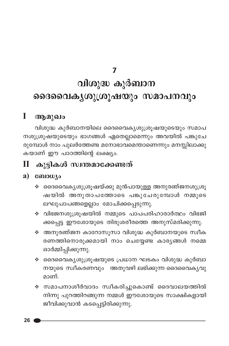7

# വിശുദ്ധ കുർബാന ദൈവൈകൃശുശ്രൂഷയും സമാപനവും

#### T ആമുഖം

വിശുദ്ധ കുർബാനയിലെ ദൈവൈകൃശുശ്രൂഷയുടെയും സമാപ നശുശ്രൂഷയുടെയും ഭാഗങ്ങൾ ഏതെല്ലാമെന്നും അവയിൽ പങ്കുചേ രുമ്പോൾ നാം പുലർത്തേണ്ട മനോഭാവമെന്താണെന്നും മനസ്സിലാക്കു കയാണ് ഈ പാഠത്തിന്റെ ലക്ഷ്യം.

## $\mathbf H$  കുട്ടികൾ സ്വന്തമാക്കേണ്ടത്

### a)  $\omega_{\rm so}$

- ❖ ദൈവൈകൃശുശ്രൂഷയ്ക്കു മുൻപായുള്ള അനുരഞ്ജനശുശ്രൂ ഷയിൽ അനുതാപത്തോടെ പങ്കുചേരുമ്പോൾ നമ്മുടെ ലഘുപാപങ്ങളെല്ലാം മോചിക്കപ്പെടുന്നു.
- ❖ വിഭജനശുശ്രൂഷയിൽ നമ്മുടെ പാപപരിഹാരാർത്ഥം വിഭജി ക്കപ്പെട്ട ഈശോയുടെ തിരുശരീരത്തെ അനുസ്മരിക്കുന്നു.
- ❖ അനുരഞ്ജന കാറോസൂസാ വിശുദ്ധ കുർബാനയുടെ സ്ഥീക രണത്തിനൊരുക്കമായി നാം ചെയ്യേണ്ട കാര്യങ്ങൾ നമ്മെ ഓർമ്മിപ്പിക്കുന്നു.
- ❖ ദൈവൈകൃശുശ്രൂഷയുടെ പ്രധാന ഘടകം വിശുദ്ധ കുർബാ നയുടെ സ്ഥീകരണവും അതുവഴി ലഭിക്കുന്ന ദൈവൈകൃവു മാണ്.
- ❖ സമാപനാശീർവാദം സ്വീകരിച്ചുകൊണ്ട് ദൈവാലയത്തിൽ നിന്നു പുറത്തിറങ്ങുന്ന നമ്മൾ ഈശോയുടെ സാക്ഷികളായി ജീവിക്കുവാൻ കടപ്പെട്ടിരിക്കുന്നു.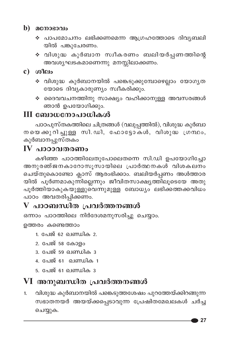### $\mathbf b)$  acmosoolo

- ❖ പാപമോചനം ലഭിക്കണമെന്ന ആഗ്രഹത്തോടെ ദിവൃബലി യിൽ പങ്കുചേരണം.
- ❖ വിശുദ്ധ കുർബാന സ്വീകരണം ബലിയർപ്പണത്തിന്റെ അവശ്യഘടകമാണെന്നു മനസ്സിലാക്കണം.

### $c)$  ശീലം

- ❖ വിശുദ്ധ കുർബാനയിൽ പങ്കെടുക്കുമ്പോഴെല്ലാം യോഗൃത യോടെ ദിവ്യകാരുണ്യം സ്വീകരിക്കും.
- ∻ ദൈവവചനത്തിനു സാക്ഷ്യം വഹിക്കാനുള്ള അവസരങ്ങൾ ഞാൻ ഉപയോഗിക്കും.

# III ബോധനോപാധികൾ

പാഠപുസ്തകത്തിലെ ചിത്രങ്ങൾ (വലുപ്പത്തിൽ), വിശുദ്ധ കുർബാ നയെക്കുറിച്ചുള്ള സി.ഡി, ഫോട്ടോകൾ, വിശുദ്ധ ഗ്രന്ഥം, കുർബാനപ്പുസ്തകം

# IV പാഠാവതരണം

കഴിഞ്ഞ പാഠത്തിലേതുപോലെതന്നെ സി.ഡി ഉപയോഗിച്ചോ അനുരഞ്ജനകാറോസൂസായിലെ പ്രാർത്ഥനകൾ വിശകലന<mark>ം</mark> ചെയ്തുകൊണ്ടോ ക്ലാസ് ആരംഭിക്കാം. ബലിയർപ്പണം അൾത്താര യിൽ പൂർണമാകുന്നില്ലെന്നും ജീവിതസാക്ഷ്യത്തിലൂടെയേ അതു പൂർത്തിയാകുകയുള്ളുവെന്നുമുള്ള ബോധ്യം ലഭിക്കത്തക്കവിധം പാഠം അവതരിപ്പിക്കണം.

# ${\rm V}$  പാഠബന്ധിത പ്രവർത്തനങ്ങൾ

ഒന്നാം പാഠത്തിലെ നിർദേശമനുസരിച്ചു ചെയ്യാം. ഉത്തരം കണ്ടെത്താം

- 1. പേജ് 62 ഖണ്ഡിക 2.
- 2. പേജ് 58 കോളം
- 3. പേജ് 59 **ഖണ്ഡിക** 3
- 4. പേജ് 61 <u>ഖണ്ഡിക</u> 1
- 5. പേജ് 61 ഖണ്ഡിക 3

# VI അനുബന്ധിത പ്രവർത്തനങ്ങൾ

വിശുദ്ധ കുർബാനയിൽ പങ്കെടുത്തശേഷം പുറത്തേയ്ക്കിറങ്ങുന്ന  $1<sub>1</sub>$ സഭാതനയർ അയയ്ക്കപ്പെടാവുന്ന പ്രേഷിതമേഖലകൾ ചർച്ച ചെയ്യുക.

 $\bullet$  27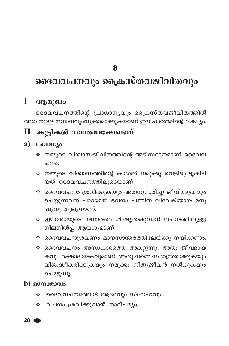### 8

# ദൈവവചനവും ക്രൈസ്തവജീവിതവും

#### $\mathbf{I}$ ആമുഖം

ദൈവവചനത്തിന്റെ പ്രാധാനൃവും ക്രൈസ്തവജീവിതത്തിൽ അതിനുള്ള സ്ഥാനവുംവ്യക്തമാക്കുകയാണ് ഈ പാഠത്തിന്റെ ലക്ഷ്യം.

#### കുട്ടികൾ സ്വന്തമാക്കേണ്ടത് П

### a) consulto

- ∻ നമ്മുടെ വിശ്വാസജീവിതത്തിന്റെ അടിസ്ഥാനമാണ് ദൈവവ  $\sim 1000$
- ∻ നമ്മുടെ വിശ്വാസത്തിന്റെ കാതൽ നമുക്കു വെളിപ്പെട്ടുകിട്ടി യത് ദൈവവചനത്തിലൂടെയാണ്.
- ❖ ദൈവവചനം ശ്രവിക്കുകയും അതനുസരിച്ചു ജീവിക്കുകയും ചെയ്യുന്നവൻ പാറമേൽ ഭവനം പണിത വിവേകിയായ മനു ഷ്യനു തുല്യനാണ്.
- ∻ ഈശോയുടെ യഥാർത്ഥ ശിഷ്യരാകുവാൻ വചനത്തിലുള്ള നിലനിൽപ്പ് ആവശ്യമാണ്.
- ❖ ദൈവവചനശ്രവണം മാനസാന്തരത്തിലേയ്ക്കു നയിക്കണം.
- ∻ ദൈവവചനം അന്ധകാരത്തെ അകറ്റുന്നു; അതു ജീവദായ കവും രക്ഷാദായകവുമാണ്. അതു നമ്മെ സ്വതന്ത്രരാക്കുകയും വിശുദ്ധീകരിക്കുകയും നമുക്കു നിത്യജീവൻ നൽകുകയും ചെയ്യുന്നു.

### b)  $\alpha$ moso $\alpha$

- ❖ ദൈവവചനത്തോട് ആദരവും സ്നേഹവും.
- വചനം ശ്രവിക്കുവാൻ താല്പര്യം. ❖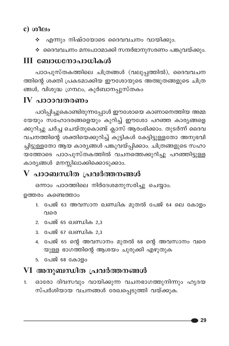### $c)$  ശീലം

- ❖ എന്നും നിഷ്ഠയോടെ ദൈവവചനം വായിക്കും.
- ❖ ദൈവവചനം മനഃപാഠമാക്കി സന്ദർഭാനുസരണം പങ്കുവയ്ക്കും.

# III ബോധനോപാധികൾ

പാഠപുസ്തകത്തിലെ ചിത്രങ്ങൾ (വലുപ്പത്തിൽ), ദൈവവചന ത്തിന്റെ ശക്തി പ്രകടമാക്കിയ ഈശോയുടെ അത്ഭുതങ്ങളുടെ ചിത്ര ങ്ങൾ, വിശുദ്ധ ഗ്രന്ഥം, കുർബാനപ്പുസ്തകം

## $IV<sub>2</sub>$ വാറാത്രരണം

പഠിപ്പിച്ചുകൊണ്ടിരുന്നപ്പോൾ ഈശോയെ കാണാനെത്തിയ അമ്മ യേയും സഹോദരങ്ങളെയും കുറിച്ച് ഈശോ പറഞ്ഞ കാര്യങ്ങളെ ക്കുറിച്ചു ചർച്ച ചെയ്തുകൊണ്ട് ക്ലാസ് ആരംഭിക്കാം. തുടർന്ന് ദൈവ വചനത്തിന്റെ ശക്തിയെക്കുറിച്ച് കുട്ടികൾ കേട്ടിട്ടുള്ളതോ അനുഭവി ച്ചിട്ടുള്ളതോ ആയ കാര്യങ്ങൾ പങ്കുവയ്പ്പിക്കാം. ചിത്രങ്ങളുടെ സഹാ യത്തോടെ പാഠപുസ്തകത്തിൽ വചനത്തെക്കുറിച്ചു പറഞ്ഞിട്ടുള്ള കാര്യങ്ങൾ മനസ്സിലാക്കിക്കൊടുക്കാം.

# ${\bf V}$  പാഠബന്ധിത പ്രവർത്തനങ്ങൾ

ഒന്നാം പാഠത്തിലെ നിർദേശമനുസരിച്ചു ചെയ്യാം.

ഉത്തരം കണ്ടെത്താം

- 1. പേജ് 63 അവസാന ഖണ്ഡിക മുതൽ പേജ് 64 ലെ കോളം വരെ
- 2. പേജ് 65 ഖണ്ഡിക 2.3
- 3. പേജ് 67 ഖണ്ഡിക 2.3
- 4. പേജ് 65 ന്റെ അവസാനം മുതൽ 68 ന്റെ അവസാനം വരെ യുള്ള ഭാഗത്തിന്റെ ആശയം ചുരുക്കി എഴുതുക
- 5. പേജ് 68 കോളം

# VI അനുബന്ധിത പ്രവർത്തനങ്ങൾ

ഓരോ ദിവസവും വായിക്കുന്ന വചനഭാഗത്തുനിന്നും ഹൃദയ  $1<sub>1</sub>$ സ്പർശിയായ വചനങ്ങൾ രേഖപ്പെടുത്തി വയ്ക്കുക.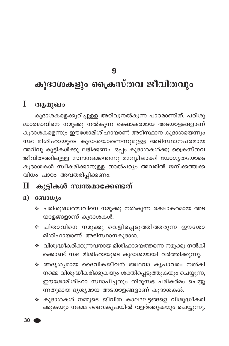$\boldsymbol{q}$ 

# കൂദാശകളും ക്രൈസ്തവ ജീവിതവും

#### $\mathbf{I}$ ആമുഖം

കൂദാശകളെക്കുറിച്ചുള്ള അറിവുനൽകുന്ന പാഠമാണിത്. പരിശു ദ്ധാത്മാവിനെ നമുക്കു നൽകുന്ന രക്ഷാകരമായ അടയാളങ്ങളാണ് കൂദാശകളെന്നും ഈശോമിശിഹായാണ് അടിസ്ഥാന കൂദാശയെന്നും സഭ മിശിഹായുടെ കൂദാശയാണെന്നുമുള്ള അടിസ്ഥാനപരമായ അറിവു കുട്ടികൾക്കു ലഭിക്കണം. ഒപ്പം കൂദാശകൾക്കു ക്രൈസ്തവ ജീവിതത്തിലുള്ള സ്ഥാനമെന്തെന്നു മനസ്സിലാക്കി യോഗൃതയോടെ കൂദാശകൾ സ്വീകരിക്കാനുള്ള താൽപര്യം അവരിൽ ജനിക്കത്തക്ക വിധം പാഠം അവതരിപ്പിക്കണം.

# II കുട്ടികൾ സ്ഥതമാക്കേണ്ടത്

### a)  $\omega_{\text{so}}$

- <mark>∻</mark> പരിശുദ്ധാത്മാവിനെ നമുക്കു നൽകുന്ന രക്ഷാകരമായ അട യാളങ്ങളാണ് കൂദാശകൾ.
- ❖ പിതാവിനെ നമുക്കു വെളിപ്പെടുത്തിത്തരുന്ന ഈശ<mark>ോ</mark> മിശിഹായാണ് അടിസ്ഥാനകൂദാശ.
- ❖ വിശുദ്ധീകരിക്കുന്നവനായ മിശിഹായെത്തന്നെ നമുക്കു നൽകി ക്കൊണ്ട് സഭ മിശിഹായുടെ കൂദാശയായി വർത്തിക്കുന്നു.
- ∻ അദൃശൃമായ ദൈവികജീവൻ അഥവാ കൃപാവരം നൽകി നമ്മെ വിശുദ്ധീകരിക്കുകയും ശക്തിപ്പെടുത്തുകയും ചെയ്യുന്ന, ഈശോമിശിഹാ സ്ഥാപിച്ചതും തിരുസഭ പരികർമം ചെയ്യു ന്നതുമായ ദൃശ്യമായ അടയാളങ്ങളാണ് കൂദാശകൾ.
- ❖ കൂദാശകൾ നമ്മുടെ ജീവിത കാലഘട്ടങ്ങളെ വിശുദ്ധീകരി ക്കുകയും നമ്മെ ദൈവകൃപയിൽ വളർത്തുകയും ചെയ്യുന്നു.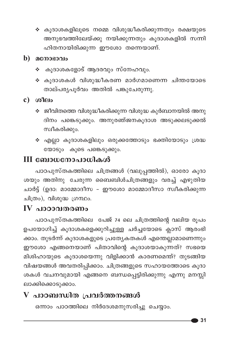∻ കൂദാശകളിലൂടെ നമ്മെ വിശുദ്ധീകരിക്കുന്നതും രക്ഷയുടെ അനുഭവത്തിലേയ്ക്കു നയിക്കുന്നതും കൂദാശകളിൽ സന്നി ഹിതനായിരിക്കുന്ന ഈശോ തന്നെയാണ്.

### $\mathbf{b}$ )  $\alpha$  conservation

- കൂദാശകളോട് ആദരവും സ്നേഹവും.
- ∻ കൂദാശകൾ വിശുദ്ധീകരണ മാർഗമാണെന്ന ചിന്തയോടെ താല്പര്യപൂർവം അതിൽ പങ്കുചേരുന്നു.

### $c)$  ശീലം

- ❖ ജീവിതത്തെ വിശുദ്ധീകരിക്കുന്ന വിശുദ്ധ കുർബാനയിൽ അനു ദിനം പങ്കെടുക്കും. അനുരഞ്ജനകൂദാശ അടുക്കലടുക്കൽ സ്വീകരിക്കും.
- ❖ എല്ലാ കൂദാശകളിലും ഒരുക്കത്തോടും ഭക്തിയോടും ശ്രദ്ധ യോടും കൂടെ പങ്കെടുക്കും.

## III ബോധനോപാധികൾ

പാഠപുസ്തകത്തിലെ ചിത്രങ്ങൾ (വലുപ്പത്തിൽ), ഓരോ കൂദാ ശയും അതിനു ചേരുന്ന ബൈബിൾചിത്രങ്ങളും വരച്ച് എഴുതിയ ചാർട്ട് (ഉദാ: മാമ്മോദീസ - ഈശോ മാമ്മോദീസാ സ്ഥീകരിക്കുന്ന ചിത്രം), വിശുദ്ധ ഗ്രന്ഥം.

### $IV$  പാഠാവതരണം

പാഠപുസ്തകത്തിലെ പേജ് 74 ലെ ചിത്രത്തിന്റെ വലിയ രൂപം ഉപയോഗിച്ച് കൂദാശകളെക്കുറിച്ചുള്ള ചർച്ചയോടെ ക്ലാസ് ആരംഭി ക്കാം. തുടർന്ന് കൂദാശകളുടെ പ്രത്യേകതകൾ എന്തെല്ലാമാണെന്നും ഈശോ എങ്ങനെയാണ് പിതാവിന്റെ കൂദാശയാകുന്നത്? സഭയെ മിശിഹായുടെ കൂദാശയെന്നു വിളിക്കാൻ കാരണമെന്ത്? തുടങ്ങിയ വിഷയങ്ങൾ അവതരിപ്പിക്കാം. ചിത്രങ്ങളുടെ സഹായത്തോടെ കൂദാ ശകൾ വചനവുമായി എങ്ങനെ ബന്ധപ്പെട്ടിരിക്കുന്നു എന്നു മനസ്സി ലാക്കിക്കൊടുക്കാം.

## ${\bf V}$  പാഠബന്ധിത പ്രവർത്തനങ്ങൾ

ഒന്നാം പാഠത്തിലെ നിർദേശമനുസരിച്ചു ചെയ്യാം.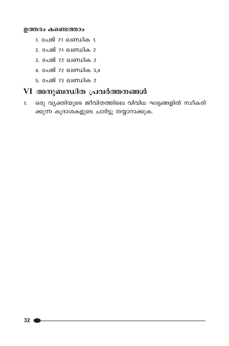### ഉത്തരം കണ്ടെത്താം

- 1. പേജ് 71 ഖണ്ഡിക 1.
- 2. പേജ് 71 ഖണ്ഡിക 2
- 3. പേജ് 72 ഖണ്ഡിക 2
- 4. പേജ് 72 ഖണ്ഡിക 3,4
- 5. പേജ് 73 ഖണ്ഡിക 2

### VI അനുബന്ധിത പ്രവർത്തനങ്ങൾ

ഒരു വ്യക്തിയുടെ ജീവിതത്തിലെ വിവിധ ഘട്ടങ്ങളിൽ സ്ഥീകരി  $\mathbf{1}$ ക്കുന്ന കൂദാശകളുടെ ചാർട്ടു തയ്യാറാക്കുക.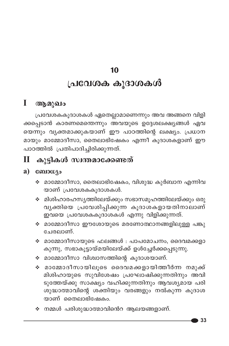### 10

# പ്രവേശക കൂദാശകൾ

#### $\mathbf{I}$ ആമുഖം

പ്രവേശകകൂദാശകൾ ഏതെല്ലാമാണെന്നും അവ അങ്ങനെ വിളി ക്കപ്പെടാൻ കാരണമെന്തെന്നും അവയുടെ ഉദ്ദേശലക്ഷ്യങ്ങൾ ഏവ യെന്നും വ്യക്തമാക്കുകയാണ് ഈ പാഠത്തിന്റെ ലക്ഷ്യം. പ്രധാന മായും മാമ്മോദീസാ, തൈലാഭിഷേകം എന്നീ കൂദാശകളാണ് ഈ പാഠത്തിൽ പ്രതിപാദിച്ചിരിക്കുന്നത്.

#### കുട്ടികൾ സ്വന്തമാക്കേണ്ടത് П

### a) ബോധ്യം

- ❖ മാമ്മോദീസാ, തൈലാഭിഷേകം, വിശുദ്ധ കുർബാന എന്നിവ യാണ് പ്രവേശകകൂദാശകൾ.
- ❖ മിശിഹാരഹസ്യത്തിലേയ്ക്കും സഭാസമൂഹത്തിലേയ്ക്കും ഒരു വൃക്തിയെ പ്രവേശിപ്പിക്കുന്ന കൂദാശകളായതിനാലാണ് ഇവയെ പ്രവേശകകൂദാശകൾ എന്നു വിളിക്കുന്നത്.
- ❖ മാമ്മോദീസാ ഈശോയുടെ മരണോത്ഥാനങ്ങളിലുള്ള പങ്കു ചേരലാണ്.
- ❖ മാമ്മോദീസായുടെ ഫലങ്ങൾ : പാപമോചനം, ദൈവമക്കളാ കുന്നു, സഭാകൂട്ടായ്മയിലേയ്ക്ക് ഉൾച്ചേർക്കപ്പെടുന്നു.
- ❖ മാമ്മോദീസാ വിശ്വാസത്തിന്റെ കൂദാശയാണ്.
- ∻ മാമ്മോദീസായിലൂടെ ദൈവമക്കളായിത്തീർന്ന നമുക്ക് മിശിഹായുടെ സുവിശേഷം പ്രഘോഷിക്കുന്നതിനും അവി ടുത്തേയ്ക്കു സാക്ഷ്യം വഹിക്കുന്നതിനും ആവശ്യമായ പരി ശുദ്ധാത്മാവിന്റെ ശക്തിയും വരങ്ങളും നൽകുന്ന കൂദാശ യാണ് തൈലാഭിഷേകം.
- ❖ നമ്മൾ പരിശുദ്ധാത്മാവിൻെറ ആലയങ്ങളാണ്.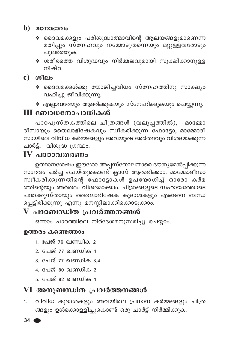### $\mathbf b)$  acmosono

- ❖ ദൈവമക്കളും പരിശുദ്ധാത്മാവിന്റെ ആലയങ്ങളുമാണെന്ന മതിപ്പും സ്നേഹവും നമ്മോടുതന്നെയും മറ്റുള്ളവരോടും പുലർത്തുക.
- ∻ ശരീരത്തെ വിശുദ്ധവും നിർമ്മലവുമായി സുക്ഷിക്കാനുള്ള നിഷ്ഠ.

### $c)$  ശീലം

- ❖ ദൈവമക്കൾക്കു യോജിച്ചവിധം സ്നേഹത്തിനു സാക്ഷ്യം വഹിച്ചു ജീവിക്കുന്നു.
- ❖ എല്ലാവരേയും ആദരിക്കുകയും സ്നേഹിക്കുകയും ചെയ്യുന്നു.

## III ബോധനോപാധികൾ

പാഠപുസ്തകത്തിലെ ചിത്രങ്ങൾ (വലുപ്പത്തിൽ), മാമ്മോ ദീസായും തൈലാഭിഷേകവും സ്വീകരിക്കുന്ന ഫോട്ടോ, മാമ്മോദീ സായിലെ വിവിധ കർമ്മങ്ങളും അവയുടെ അർത്ഥവും വിശദമാക്കുന്ന ചാർട്ട്, വിശുദ്ധ ഗ്രന്ഥം.

### $IV$  പാഠാവതരണം

ഉത്ഥാനശേഷം ഈശോ അപ്പസ്തോലന്മാരെ ദൗത്യമേൽപ്പിക്കുന്ന സംഭവം ചർച്ച ചെയ്തുകൊണ്ട് ക്ലാസ് ആരംഭിക്കാം. മാമ്മോദീസാ സ്ഥീകരിക്കുന്നതിന്റെ ഫോട്ടോക്ൾ ഉപയോഗിച്ച് ഓരോ കർമ ത്തിന്റെയും അർത്ഥം വിശദമാക്കാം. ചിത്രങ്ങളുടെ സഹായത്തോടെ പന്തക്കുസ്തായും തൈലാഭിഷേക കൂദാശകളും എങ്ങനെ ബന്ധ പ്പെട്ടിരിക്കുന്നു എന്നു മനസ്സിലാക്കിക്കൊടുക്കാം.

## ${\bf V}$  പാഠബന്ധിത പ്രവർത്തനങ്ങൾ

ഒന്നാം പാഠത്തിലെ നിർദേശമനുസരിച്ചു ചെയ്യാം.

### ഉത്തരം കണ്ടെത്താം

- 1. പേജ് 76 ഖണ്ഡിക 2
- 2. പേജ് 77 ഖണ്ഡിക 1
- 3. പേജ് 77 ഖണ്ഡിക 3,4
- 4. പേജ് 80 ഖണ്ഡിക 2
- <u>5. പേജ് 82 ഖണ്ഡിക 1</u>

# VI അനുബന്ധിത പ്രവർത്തനങ്ങൾ

വിവിധ കൂദാശകളും അവയിലെ പ്രധാന കർമ്മങ്ങളും ചിത്ര 1. ങ്ങളും ഉൾക്കൊള്ളിച്ചുകൊണ്ട് ഒരു ചാർട്ട് നിർമ്മിക്കുക.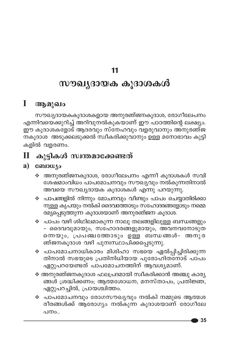11

# സൗഖ്യദായക കൂദാശകൾ

#### I ആമുഖം

സൗഖ്യദായകകൂദാശകളായ അനുരഞ്ജനകൂദാശ, രോഗീലേപനം എന്നിവയെക്കുറിച്ച് അറിവുനൽകുകയാണ് ഈ പാഠത്തിന്റെ ലക്ഷ്യം. ഈ കൂദാശകളോട് ആദരവും സ്നേഹവും വളരുവാനും അ്നുരഞ്ജ നകൂദാശ അടുക്കലടുക്കൽ സ്ഥീകരിക്കുവാനും ഉള്ള മനോഭാവം കുട്ടി കളിൽ വളരണം.

#### കൂട്ടികൾ സ്വന്തമാക്കേണ്ടത് П

### a)  $\omega_{\text{so}}$

- ❖ അനുരഞ്ജനകൂദാശ, രോഗീലേപനം എന്നീ കൂദാശകൾ സവി ശേഷമാംവിധം പാപമോചനവും സൗഖ്യവും നൽകുന്നതിനാൽ അവയെ സൗഖ്യദായക കൂദാശകൾ എന്നു പറയുന്നു.
- ❖ പാപങ്ങളിൽ നിന്നും മോചനവും വീണ്ടും പാപം ചെയ്യാതിരിക്കാ നുള്ള കുപയും നൽകി ദൈവത്തോടും സഹോദരങ്ങളോടും നമ്മെ രമ്യപ്പെടുത്തുന്ന കൂദാശയാണ് അനുരഞ്ജന കൂദാശ.
- ❖ പാപം വഴി ശിഥിലമാകുന്ന നാലു തലങ്ങളിലുള്ള ബന്ധങ്ങളും - ദൈവവുമായും, സഹോദരങ്ങളുമായും, അവനവനോടുത നെയും, പ്രപഞ്ചത്തോടും ഉള്ള ബന്ധങ്ങൾ- അനുര ഞ്ജന്കൂദാശ വഴി പുനഃസ്ഥാപിക്കപ്പെടുന്നു.
- ∻ പാപമോചനാധികാരം മിശിഹാ സഭയെ ഏൽപ്പിച്ചിരിക്കുന്ന തിനാൽ സഭയുടെ പ്രതിനിധിയായ പുരോഹിതനോട് പാപം ഏറ്റുപറയേണ്ടത് പാപമോചനത്തിന് ആവശ്യമാണ്.
- ∻ അനുരഞ്ജനകൂദാശ ഫലപ്രദമായി സ്ഥീകരിക്കാൻ അഞ്ചു കാര്യ ങ്ങൾ ശ്രദ്ധിക്കണം; ആത്മശോധന, മനസ്താപം, പ്രതിജ്ഞ, ഏറ്റുപറച്ചിൽ, പ്രായശ്ചിത്തം.
- ❖ പാപമോചനവും രോഗസൗഖ്യവും നൽകി നമ്മുടെ ആത്മശ രീരങ്ങൾക്ക് ആരോഗ്യം നൽകുന്ന കൂദാശയാണ് രോഗീലേ പനം..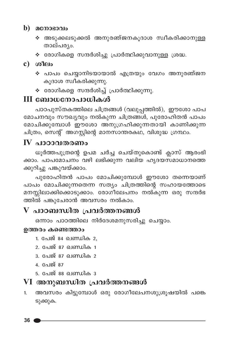### $\mathbf b)$  acmosono

- ∻ അടുക്കലടുക്കൽ അനുരഞ്ജനകൂദാശ സ്വീകരിക്കാനുള്ള താല്പര്യം.
- ❖ രോഗികളെ സന്ദർശിച്ചു പ്രാർത്ഥിക്കുവാനുള്ള ശ്രദ്ധ.
- $c)$  ശീലം
	- ❖ പാപം ചെയ്യാനിടയായാൽ എത്രയും വേഗം അനുരഞ്ജന കുദാശ സ്വീകരിക്കുന്നു.
	- ∻ രോഗികളെ സന്ദർശിച്ച് പ്രാർത്ഥിക്കുന്നു.

# III ബോധനോപാധികൾ

പാഠപുസ്തകത്തിലെ ചിത്രങ്ങൾ (വലുപ്പത്തിൽ), ഈശോ പാപ മോചനവും സൗഖ്യവും നൽകുന്ന ചിത്രങ്ങൾ, പുരോഹിതൻ പാപം മോചിക്കുമ്പോൾ ഈശോ അനുഗ്രഹിക്കുന്നതായി കാണിക്കുന്ന ചിത്രം, സെന്റ് അഗസ്റ്റിന്റെ മാനസാന്തരകഥ, വിശുദ്ധ ഗ്രന്ഥം.

## $\bf{IV}$  പാറാവതരണം

ധൂർത്തപുത്രന്റെ ഉപമ ചർച്ച ചെയ്തുകൊണ്ട് ക്ലാസ് ആരംഭി ക്കാം. പാപമോചനം വഴി ലഭിക്കുന്ന വലിയ ഹൃദയസമാധാനത്തെ ക്കുറിച്ചു പങ്കുവയ്ക്കാം.

പുരോഹിതൻ പാപം മോചിക്കുമ്പോൾ ഈശോ തന്നെയാണ് പാപം മോചിക്കുന്നതെന്ന സത്യം ചിത്രത്തിന്റെ സഹായത്തോടെ മനസ്സിലാക്കിക്കൊടുക്കാം. രോഗീലേപനം നൽ്കുന്ന ഒരു സന്ദർഭ ത്തിൽ പങ്കുചേരാൻ അവസരം നൽകാം.

## ${\bf V}$  പാഠബന്ധിത പ്രവർത്തനങ്ങൾ

ഒന്നാം പാഠത്തിലെ നിർദേശമനുസരിച്ചു ചെയ്യാം.

### ഉത്തരം കണ്ടെത്താം

- 1. പേജ് 84 ഖണ്ഡിക 2,
- 2. പേജ് 87 ഖണ്ഡിക 1
- <u>3. പേജ് 87 ഖണ്ഡിക 2</u>
- 4. പേജ് 87
- <u>5. പേജ് 88 ഖണ്ഡിക 3</u>

# VI അനുബന്ധിത പ്രവർത്തനങ്ങൾ

അവസരം കിട്ടുമ്പോൾ ഒരു രോഗീലേപനശുശ്രൂഷയിൽ പങ്കെ  $1.$ ടുക്കുക.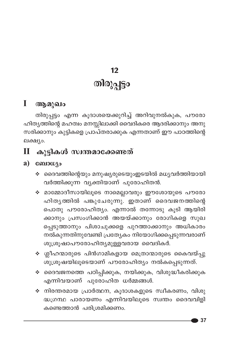# $12$ തിരുപ്പട്ടം

#### I ആമുഖം

തിരുപ്പട്ടം എന്ന കൂദാശയെക്കുറിച്ച് അറിവുനൽകുക, പൗരോ ഹിത്യത്തിന്റെ മഹത്വം മനസ്സിലാക്കി വൈദികരെ ആദരിക്കാനും അനു സരിക്കാനും കുട്ടികളെ പ്രാപ്തരാക്കുക എന്നതാണ് ഈ പാഠത്തിന്റെ ലക്ഷ്യം.

## $\rm{II}$  കുട്ടികൾ സ്വന്തമാക്കേണ്ടത്

### $a)$  consumed

- ❖ ദൈവത്തിന്റെയും മനുഷ്യരുടെയുംഇടയിൽ മധ്യവർത്തിയായി വർത്തിക്കുന്ന വ്യക്തിയാണ് പുരോഹിതൻ.
- ❖ മാമ്മോദീസായിലൂടെ നാമെല്ലാവരും ഈശോയുടെ പൗരോ ഹിതൃത്തിൽ പങ്കുചേരുന്നു. ഇതാണ് ദൈവജനത്തിന്റെ പൊതു പൗരോഹിത്യം. എന്നാൽ തന്നോടു കൂടി ആയിരി ക്കാനും പ്രസംഗിക്കാൻ അയയ്ക്കാനും രോഗികളെ സുഖ പ്പെടുത്താനും പിശാചുക്കളെ പുറത്താക്കാനും അധികാരം നൽകുന്നതിനുവേണ്ടി പ്രത്യേകം നിയോഗിക്കപ്പെടുന്നവരാണ് ശുശ്രൂഷാപൗരോഹിത്യമുള്ളവരായ വൈദികർ.
- ∻ ശ്ലീഹന്മാരുടെ പിൻഗാമികളായ മെത്രാന്മാരുടെ കൈവയ്പ്പു ...<br>ശുശ്രൂഷയിലൂടെയാണ് പൗരോഹിത്യം നൽകപ്പെടുന്നത്.
- $\boldsymbol{\dot{\ast}}$  ദൈവജനത്തെ പഠിപ്പിക്കുക, നയിക്കുക, വിശുദ്ധീകരിക്കുക എന്നിവയാണ് പുരോഹിത ധർമ്മങ്ങൾ.
- ∻ നിരന്തരമായ പ്രാർത്ഥന, കൂദാശകളുടെ സ്വീകരണം, വിശു ദ്ധഗ്രന്ഥ പാരായണം എന്നിവയിലൂടെ സ്വന്തം ദൈവവിളി കണ്ടെത്താൻ പരിശ്രമിക്കണം.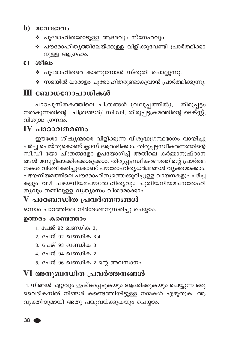### $\mathbf b$ )  $\mathbf a$  and  $\mathbf a$

- ❖ പുരോഹിതരോടുള്ള ആദരവും സ്നേഹവും.
- ❖ പൗരോഹിതൃത്തിലേയ്ക്കുള്ള വിളിക്കുവേണ്ടി പ്രാർത്ഥിക്കാ നുള്ള ആഗ്രഹം.

## $c)$  ശീലം

- ❖ പുരോഹിതരെ കാണുമ്പോൾ സ്തുതി ചൊല്ലുന്നു.
- ❖ സഭയിൽ ധാരാളം പുരോഹിതരുണ്ടാകുവാൻ പ്രാർത്ഥിക്കുന്നു.

# ∭ ബോധനോപാധികൾ

പാഠപുസ്തകത്തിലെ ചിത്രങ്ങൾ (വലുപ്പത്തിൽ), തിരുപ്പട്ടം നൽകുന്നതിന്റെ ചിത്രങ്ങൾ/ സി.ഡി, തിരുപ്പട്ടക്രമത്തിന്റെ ടെക്സ്റ്റ്, വിശുദ്ധ ഗ്രന്ഥം.

# IV പാഠാവതരണം

ഈശോ ശിഷ്യന്മാരെ വിളിക്കുന്ന വിശുദ്ധഗ്രന്ഥഭാഗം വായിച്ചു ചർച്ച് ചെയ്തുകൊണ്ട് ക്ലാസ് ആരംഭിക്കാം. തിരുപ്പട്ടസ്വീകരണത്തിന്റെ സി.ഡി യോ ചിത്രങ്ങളോ ഉപയോഗിച്ച് അതിലെ കർമ്മാനുഷ്ഠാന് ങ്ങൾ മനസ്സിലാക്കിക്കൊടുക്കാം. തിരുപ്പട്ടസ്വീകരണത്തിന്റെ പ്രാർത്ഥ നകൾ വിശ്ദീകരിച്ചുകൊണ്ട് പൗരോഹിത്യധർമ്മങ്ങൾ വ്യക്തമാക്കാം. പഴയനിയമത്തിലെ പൗരോഹിത്യത്തെക്കുറിച്ചുള്ള വായനകളും ചർച്ച കളും വഴി പഴയനിയമപൗരോഹിതൃവും പുതിയനിയമപൗരോഹി ത്യവും തമ്മിലുള്ള വൃത്യാസം വിശദമാക്കാം.

# ${\bf V}$  പാഠബന്ധിത പ്രവർത്തനങ്ങൾ

ഒന്നാം പാഠത്തിലെ നിർദേശമനുസരിച്ചു ചെയ്യാം.

### ഉത്തരം കണ്ടെത്താം

- 1. പേജ് 92 ഖണ്ഡിക 2.
- 2. പേജ് 92 ഖണ്ഡിക 3,4
- <u>3. പേജ് 93 ഖണ്ഡിക 3</u>
- 4. പേജ് 94 ഖണ്ഡിക 2
- 5. പേജ് 96 ഖണ്ഡിക 2 ന്റെ അവസാനം

# VI അനുബന്ധിത പ്രവർത്തനങ്<mark>ങ</mark>ൾ

1. നിങ്ങൾ ഏറ്റവും ഇഷ്ടപ്പെടുകയും ആദരിക്കുകയും ചെയ്യുന്ന ഒരു വൈദികനിൽ നിങ്ങൾ കണ്ടെത്തിയിട്ടുള്ള നന്മകൾ എഴുതുക. ആ വൃക്തിയുമായി അതു പങ്കുവയ്ക്കുകയും ചെയ്യാം.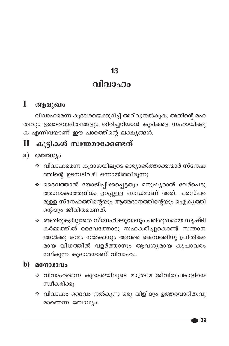# 13 വിവാഹം

#### $\mathbf{I}$ ആമുഖം

വിവാഹമെന്ന കൂദാശയെക്കുറിച്ച് അറിവുനൽകുക, അതിന്റെ മഹ ത്വവും ഉത്തരവാദിത്വങ്ങളും തിരിച്ചറിയാൻ കുട്ടികളെ സഹായിക്കു ക എന്നിവയാണ് ഈ പാഠത്തിന്റെ ലക്ഷ്യങ്ങൾ.

#### $\mathbf \Pi$ കുട്ടികൾ സ്വന്തമാക്കേണ്ടത്

#### a) ബോധ്യം

- ∻ വിവാഹമെന്ന കൂദാശയിലൂടെ ഭാര്യാഭർത്താക്കന്മാർ സ്നേഹ ത്തിന്റെ ഉടമ്പടിവഴി ഒന്നായിത്തീരുന്നു.
- ∻ ദൈവത്താൽ യോജിപ്പിക്കപ്പെട്ടതും മനുഷ്യരാൽ വേർപെടു ത്താനാകാത്തവിധം ഉറപ്പുള്ള ബന്ധമാണ് അത്. പരസ്പര മുള്ള സ്നേഹത്തിന്റെയും ആത്മദാനത്തിന്റെയും ഐകൃത്തി ന്റെയും ജീവിതമാണത്.
- ❖ അതിരുകളില്ലാതെ സ്നേഹിക്കുവാനും പരിശുദ്ധമായ സൃഷ്ടി കർമ്മത്തിൽ ദൈവത്തോടു സഹകരിച്ചുകൊണ്ട് സന്താന ങ്ങൾക്കു ജന്മം നൽകാനും അവരെ ദൈവത്തിനു പ്രീതികര മായ വിധത്തിൽ വളർത്താനും ആവശ്യമായ കൃപാവരം നല്കുന്ന കൂദാശയാണ് വിവാഹം.

### b)  $\alpha$ നോഭാവം

- ❖ വിവാഹമെന്ന കൂദാശയിലൂടെ മാത്രമേ ജീവിതപങ്കാളിയെ സ്വീകരിക്കു
- ❖ വിവാഹം ദൈവം നൽകുന്ന ഒരു വിളിയും ഉത്തരവാദിത്വവു മാണെന്ന ബോധ്യം.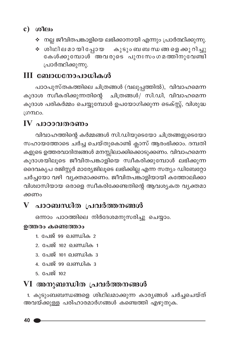## $c)$   $\omega$   $\omega$

- ❖ നല്ല ജീവിതപങ്കാളിയെ ലഭിക്കാനായി എന്നും പ്രാർത്ഥിക്കുന്നു.
- ❖ ശിഥിലമായിപ്പോയ കുടുംബബന്ധങ്ങളെക്കുറിച്ചു കേൾക്കുമ്പോൾ രോവരുടെ പുനഃസംഗമത്തിനുവേണ്ടി പ്രാർത്ഥിക്കുന്നു.

# III ബോധനോപാധികൾ

പാഠപുസ്തകത്തിലെ ചിത്രങ്ങൾ (വലുപ്പത്തിൽ), വിവാഹമെന്ന കൂദാശ സ്വീകരിക്കുന്നതിന്റെ ചിത്രങ്ങൾ/ സി.ഡി, വിവാഹമെന്ന കൂദാശ പരികർമ്മം ചെയ്യുമ്പോൾ ഉപയോഗിക്കുന്ന ടെക്സ്റ്റ്, വിശുദ്ധ ്രന്ഥം.

# $IV$  പാഠാവതരണം

വിവാഹത്തിന്റെ കർമ്മങ്ങൾ സി.ഡിയുടെയോ ചിത്രങ്ങളുടെയോ സഹായത്തോടെ ചർച്ച ചെയ്തുകൊണ്ട് ക്ലാസ് ആരംഭിക്കാം. ദമ്പതി കളുടെ ഉത്തരവാദിത്വങ്ങൾ മനസ്സിലാക്കിക്കൊടുക്കണം. വിവാഹമെന്ന കൂദാശയിലൂടെ ജീവിതപങ്കാളിയെ സ്വീകരിക്കുമ്പോൾ ലഭിക്കുന്ന ദൈവകൃപ രജിസ്റ്റർ മാര്യേജിലൂടെ ലഭിക്കില്ല എന്ന സത്യം ഡിബേറ്റോ ചർച്ചയോ വഴി വ്യക്തമാക്കണം. ജീവിതപങ്കാളിയായി കത്തോലിക്കാ വിശ്വാസിയായ ഒരാളെ സ്വീകരിക്കേണ്ടതിന്റെ ആവശ്യകത വ്യക്തമാ ക്കണം

# ${\bf V}$  പാഠബന്ധിത പ്രവർത്തനങ്ങൾ

ഒന്നാം പാഠത്തിലെ നിർദേശമനുസരിച്ചു ചെയ്യാം.

### ഉത്തരം കണ്ടെത്താം

- 1. പേജ് 99 ഖണ്ഡിക 2
- 2. പേജ് 102 ഖണ്ഡിക 1
- <u>3. പേജ് 101 ഖണ്ഡിക 3</u>
- 4. പേജ് 99 ഖണ്ഡിക <u>3</u>
- 5. പേജ് 102

# VI അനുബന്ധിത പ്രവർത്തനങ്ങൾ

1. കുടുംബബന്ധങ്ങളെ ശിഥിലമാക്കുന്ന കാര്യങ്ങൾ ചർച്ചചെയ്ത് അവയ്ക്കുള്ള പരിഹാരമാർഗങ്ങൾ കണ്ടെത്തി എഴുതുക.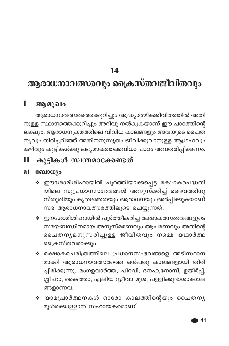### 14

# ആരാധനാവത്സരവും ക്രൈസ്തവജീവിതവും

#### Ī ആമുഖം

ആരാധനാവത്സരത്തെക്കുറിച്ചും ആദ്ധ്യാത്മികജീവിതത്തിൽ അതി നുള്ള സ്ഥാനത്തെക്കുറിച്ചും അറിവു നൽകുകയാണ് ഈ പാഠത്തിന്റെ ലക്ഷ്യം. ആരാധനക്രമത്തിലെ വിവിധ കാലങ്ങളും അവയുടെ ചൈത നൃവും തിരിച്ചറിഞ്ഞ് അതിനനുസൃതം ജീവിക്കുവാനുള്ള ആഗ്രഹവും കഴിവും കുട്ടികൾക്കു ലഭ്യമാകത്തക്കവിധം പാഠം അവതരിപ്പിക്കണം.

#### $\mathbf{I}$ കുട്ടികൾ സ്വന്തമാക്കേണ്ടത്

### a) ബോധ്യം

- ∻ ഈശോമിശിഹായിൽ പൂർത്തിയാക്കപ്പെട്ട രക്ഷാകരപദ്ധതി യിലെ സുപ്രധാനസംഭവങ്ങൾ അനുസ്മരിച്ച് ദൈവത്തിനു സ്തുതിയും കൃതജ്ഞതയും ആരാധനയും അർപ്പിക്കുകയാണ് സഭ ആരാധനാവത്സരത്തിലൂടെ ചെയ്യുന്നത്.
- ∻ ഈശോമിശിഹായിൽ പൂർത്തീകരിച്ച രക്ഷാകരസംഭവങ്ങളുടെ സമയബന്ധിതമായ അനുസ്മരണവും ആചരണവും അതിന്റെ ചൈതനൃമനുസരിച്ചുള്ള ജീവിതവും നമ്മെ യഥാർത്ഥ ക്രൈസ്തവരാക്കും.
- ∻ രക്ഷാകരചരിത്രത്തിലെ പ്രധാനസംഭവങ്ങളെ അടിസ്ഥാന മാക്കി ആരാധനാവത്സരത്തെ ഒൻപതു കാലങ്ങളായി തിരി ച്ചിരിക്കുന്നു. മംഗളവാർത്ത, പിറവി, ദനഹ,നോമ്പ്, ഉയിർപ്പ്, ശ്ലീഹാ, കൈത്താ, ഏലിയ സ്ലീവാ മൂശ, പള്ളിക്കൂദാശാക്കാല ങ്ങളാണവ.
- ∻ യാമപ്രാർത്ഥനകൾ ഓരോ കാലത്തിന്റെയും ചൈതനൃ മുൾക്കൊള്ളാൻ സഹായകരമാണ്.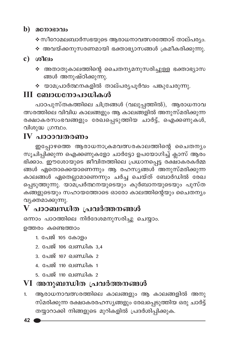### $\mathbf b)$  acmosono

- ∻ സീറോമലബാർസഭയുടെ ആരാധനാവത്സരത്തോട് താല്പര്യം.
- ❖ അവയ്ക്കനുസരണമായി ഭക്താഭ്യാസങ്ങൾ ക്രമീകരിക്കുന്നു.

### $c)$   $\omega$   $\omega$

- ∻ അതാതുകാലത്തിന്റെ ചൈതന്യമനുസരിച്ചുള്ള ഭക്താഭ്യാസ ങ്ങൾ അനുഷ്ഠിക്കുന്നു.
- ❖ യാമപ്രാർത്ഥനകളിൽ താല്പര്യപൂർവം പങ്കുചേരുന്നു.

### III ബോധനോപാധികൾ

പാഠപുസ്തകത്തിലെ ചിത്രങ്ങൾ (വലുപ്പത്തിൽ), ആരാധനാവ ത്സരത്തിലെ വിവിധ കാലങ്ങളും ആ കാലങ്ങളിൽ അനുസ്മരിക്കുന്ന രക്ഷാകരസംഭവങ്ങളും രേഖപ്പെടുത്തിയ ചാർട്ട്, ഐക്കണുകൾ, വിശുദ്ധ ഗ്രന്ഥം.

## $IV$  പാഠാവതരണം

ഇപ്പോഴത്തെ ആരാധനാക്രമവത്സരകാലത്തിന്റെ ചൈതന്യം സൂചിപ്പിക്കുന്ന ഐക്കണുകളോ ചാർട്ടോ ഉപയോഗിച്ച് ക്ലാസ് ആരം ഭിക്കാം. ഈശോയുടെ ജീവിതത്തിലെ പ്രധാനപ്പെട്ട രക്ഷാകരകർമ്മ ങ്ങൾ ഏതൊക്കെയാണെന്നും ആ രഹസ്യങ്ങൾ അനുസ്മരിക്കുന്ന കാലങ്ങൾ ഏതെല്ലാമാണെന്നും ചർച്ച ചെയ്ത് ബോർഡിൽ രേഖ പ്പെടുത്തുന്നു. യാമ്പ്രർത്ഥനയുടെയും കുർബാനയുടെയും പുസ്ത വ്യക്തമാക്കുന്നു.

# ${\bf V}$  പാഠബന്ധിത പ്രവർത്തനങ്ങൾ

ഒന്നാം പാഠത്തിലെ നിർദേശമനുസരിച്ചു ചെയ്യാം. ഉത്തരം കണ്ടെത്താം

- 1. പേജ് 105 കോളം
- 2. പേജ് 106 ഖണ്ഡിക 3,4
- 3. പേജ് 107 ഖണ്ഡിക 2
- 4. പേജ് 110 ഖണ്ഡിക 1
- 5. പേജ് 110 ഖണ്ഡിക 2

## VI അനുബന്ധിത പ്രവർത്തനങ്ങൾ

ആരാധനാവത്സരത്തിലെ കാലങ്ങളും ആ കാലങ്ങളിൽ അനു 1. സ്മരിക്കുന്ന രക്ഷാകരരഹസ്യങ്ങളും രേഖപ്പെടുത്തിയ ഒരു ചാർട്ട് തയ്യാറാക്കി നിങ്ങളുടെ മുറികളിൽ പ്രദർശിപ്പിക്കുക.

 $42<sub>0</sub>$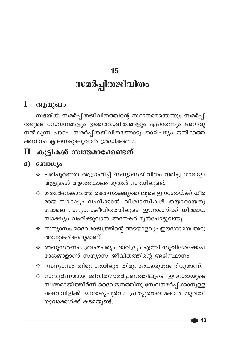# 15 സമർപ്പിതജീവിതം

#### $\mathbf{I}$ ആമുഖം

സഭയിൽ സമർപ്പിതജീവിതത്തിന്റെ സ്ഥാനമെന്തെന്നും സമർപ്പി തരുടെ സേവനങ്ങളും ഉത്തരവാദിത്വങ്ങളും എന്തെന്നും അറിവു നൽകുന്ന പാഠം. സമർപ്പിതജീവിതത്തോടു താല്പര്യം ജനിക്കത്ത ക്കവിധം ക്ലാസെടുക്കുവാൻ ശ്രദ്ധിക്കണം.

#### കുട്ടികൾ സ്വന്തമാക്കേണ്ടത്  $\mathbf H$

### a) ബോധ്യം

- ∻ പരിപൂർണത ആഗ്രഹിച്ച് സന്യാസജീവിതം വരിച്ച ധാരാളം ആളുകൾ ആരംഭകാലം മുതൽ സഭയിലുണ്ട്.
- ∻ മതമർദ്ദനകാലത്ത് രക്തസാക്ഷൃത്തിലൂടെ ഈശോയ്ക്ക് ധീര മായ സാക്ഷ്യം വഹിക്കാൻ വിശ്വാസികൾ തയ്യാറായതു പോലെ സന്യാസജീവിതത്തിലൂടെ ഈശോയ്ക്ക് ധീരമായ സാക്ഷ്യം വഹിക്കുവാൻ അനേകർ മുൻപോട്ടുവന്നു.
- ❖ സന്യാസം ദൈവരാജ്യത്തിന്റെ അടയാളവും ഈശോയെ അടു ത്തനുകരിക്കലുമാണ്.
- ❖ അനുസരണം, ബ്രഹ്മചര്യം, ദാരിദ്ര്യം എന്നീ സുവിശേഷോപ ദേശങ്ങളാണ് സന്യാസ ജീവിതത്തിന്റെ അടിസ്ഥാനം.
- ❖ സന്യാസം തിരുസഭയിലും തിരുസഭയ്ക്കുവേണ്ടിയുമാണ്.
- ∻ സമ്പുർണമായ ജീവിതസമർപ്പണത്തിലൂടെ ഈശോയുടെ സ്വന്തമായിത്തീർന്ന് ദൈവജനത്തിനു സേവനമർപ്പിക്കാനുള്ള ദൈവവിളിക്ക് ഔദാര്യപൂർവം പ്രത്യുത്തരമേകാൻ യുവതീ യുവാക്കൾക്ക് കടമയുണ്ട്.